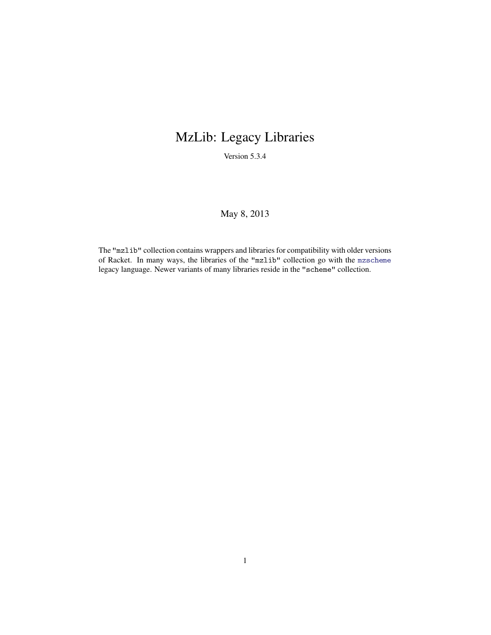# MzLib: Legacy Libraries

Version 5.3.4

#### May 8, 2013

The "mzlib" collection contains wrappers and libraries for compatibility with older versions of Racket. In many ways, the libraries of the "mzlib" collection go with the mzscheme legacy language. Newer variants of many libraries reside in the "scheme" collection.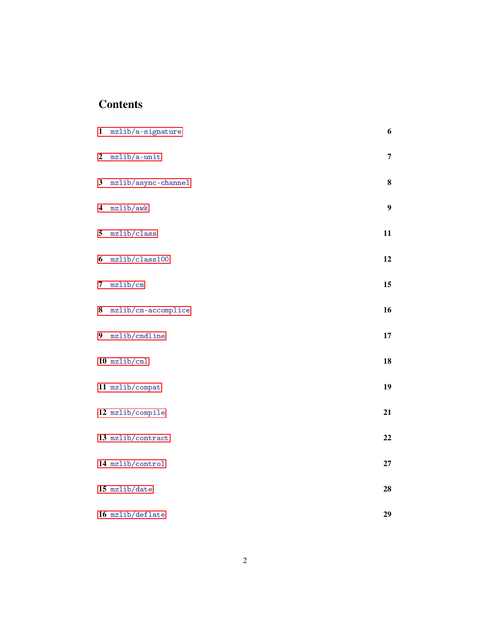## **Contents**

| $\mathbf{1}$     | mzlib/a-signature   | 6                |
|------------------|---------------------|------------------|
| $\boldsymbol{2}$ | mzlib/a-unit        | $\overline{7}$   |
| 3                | mzlib/async-channel | 8                |
| 4                | mzlib/awk           | $\boldsymbol{9}$ |
| 5                | mzlib/class         | 11               |
| 6                | mzlib/class100      | 12               |
| 7                | mzlib/cm            | 15               |
| 8                | mzlib/cm-accomplice | 16               |
| $\boldsymbol{9}$ | mzlib/cmdline       | 17               |
|                  | $10$ mzlib/cml      | 18               |
|                  | 11 mzlib/compat     | 19               |
|                  | 12 mzlib/compile    | 21               |
|                  | 13 mzlib/contract   | 22               |
|                  | 14 mzlib/control    | 27               |
|                  | 15 mzlib/date       | 28               |
|                  | 16 mzlib/deflate    | 29               |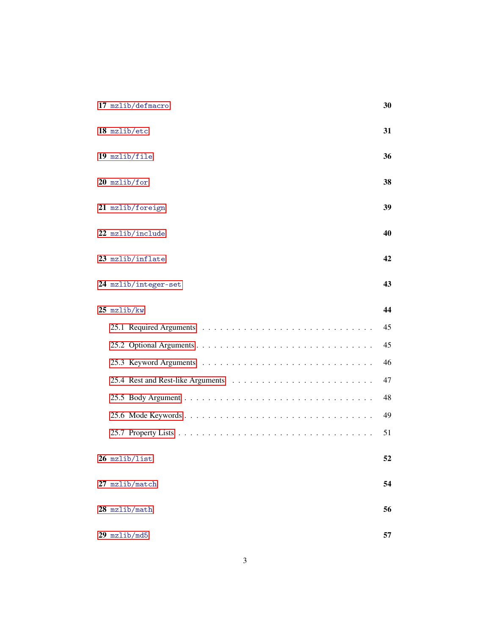| 17 mzlib/defmacro    | 30 |
|----------------------|----|
| 18 mzlib/etc         | 31 |
| $19$ mzlib/file      | 36 |
| 20 mzlib/for         | 38 |
| 21 mzlib/foreign     | 39 |
| 22 mzlib/include     | 40 |
| 23 mzlib/inflate     | 42 |
| 24 mzlib/integer-set | 43 |
| $25$ mzlib/kw        | 44 |
|                      | 45 |
|                      | 45 |
|                      | 46 |
|                      | 47 |
|                      | 48 |
|                      | 49 |
|                      | 51 |
| 26 mzlib/list        | 52 |
| 27 mzlib/match       | 54 |
| $28$ mzlib/math      | 56 |
| $29$ mzlib/md5       | 57 |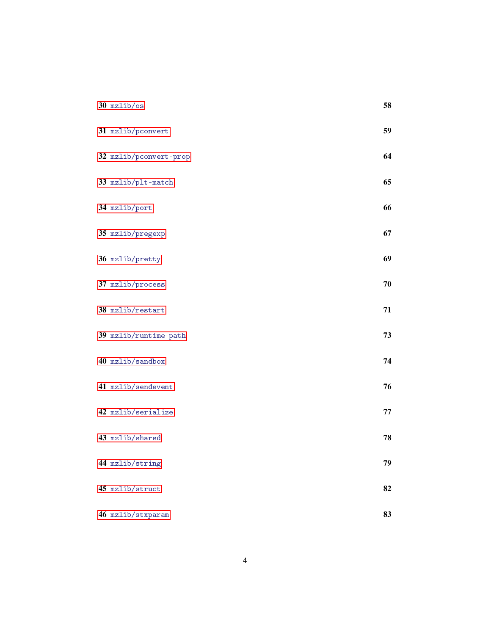| $30$ mzlib/os          | 58 |
|------------------------|----|
| 31 mzlib/pconvert      | 59 |
| 32 mzlib/pconvert-prop | 64 |
| 33 mzlib/plt-match     | 65 |
| 34 mzlib/port          | 66 |
| 35 mzlib/pregexp       | 67 |
| 36 mzlib/pretty        | 69 |
| 37 mzlib/process       | 70 |
| 38 mzlib/restart       | 71 |
| 39 mzlib/runtime-path  | 73 |
| 40 mzlib/sandbox       | 74 |
| 41 mzlib/sendevent     | 76 |
| 42 mzlib/serialize     | 77 |
| 43 mzlib/shared        | 78 |
| 44 mzlib/string        | 79 |
| 45 mzlib/struct        | 82 |
| 46 mzlib/stxparam      | 83 |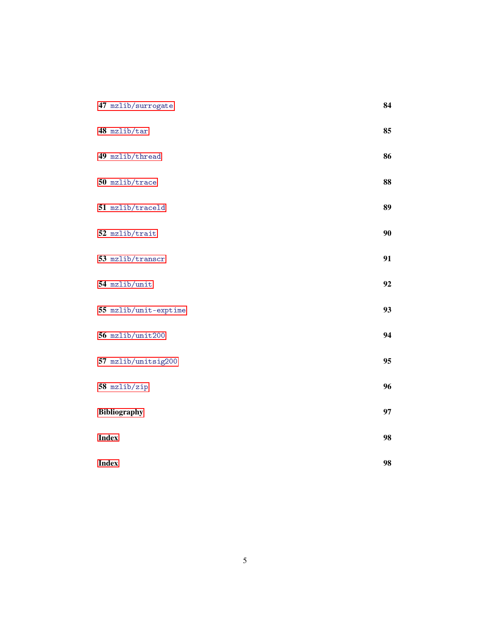| 47 mzlib/surrogate    | 84 |
|-----------------------|----|
| 48 mzlib/tar          | 85 |
| 49 mzlib/thread       | 86 |
| 50 mzlib/trace        | 88 |
| 51 mzlib/traceld      | 89 |
| 52 mzlib/trait        | 90 |
| 53 mzlib/transcr      | 91 |
| 54 mzlib/unit         | 92 |
| 55 mzlib/unit-exptime | 93 |
| 56 mzlib/unit200      | 94 |
| 57 mzlib/unitsig200   | 95 |
| 58 mzlib/zip          | 96 |
| <b>Bibliography</b>   | 97 |
| <b>Index</b>          | 98 |
| <b>Index</b>          | 98 |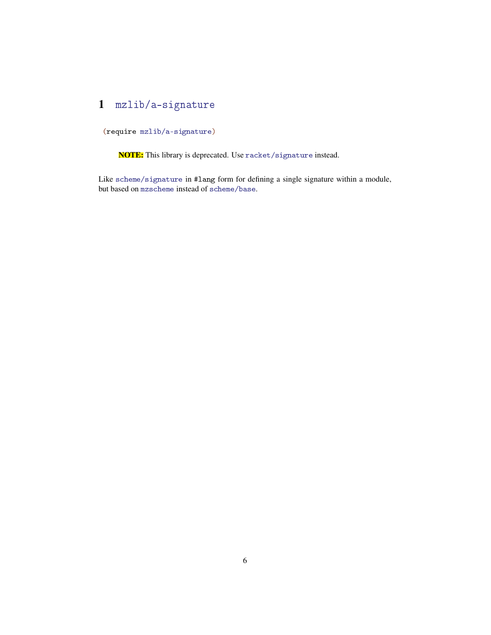## <span id="page-5-0"></span>1 mzlib/a-signature

(require mzlib/a-signature)

NOTE: This library is deprecated. Use racket/signature instead.

Like scheme/signature in #lang form for defining a single signature within a module, but based on mzscheme instead of scheme/base.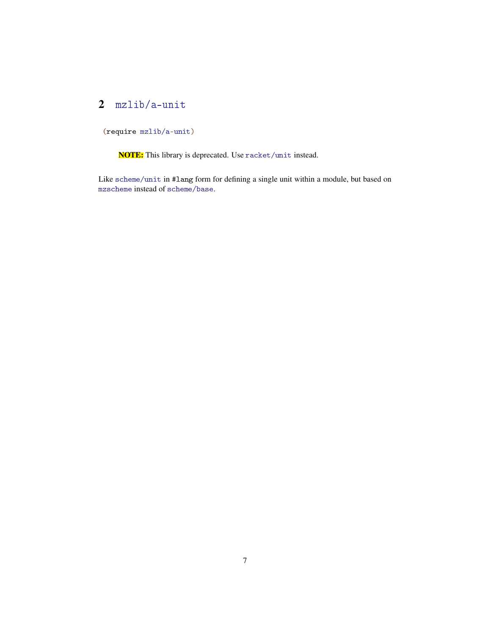### <span id="page-6-0"></span>2 mzlib/a-unit

(require mzlib/a-unit)

NOTE: This library is deprecated. Use racket/unit instead.

Like scheme/unit in #lang form for defining a single unit within a module, but based on mzscheme instead of scheme/base.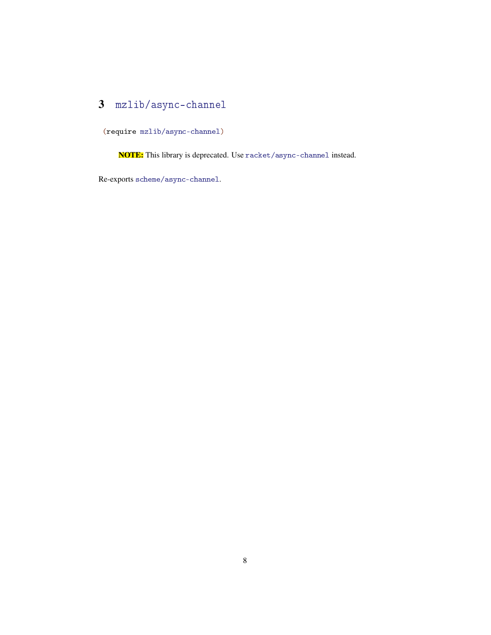## <span id="page-7-0"></span>3 mzlib/async-channel

(require mzlib/async-channel)

NOTE: This library is deprecated. Use racket/async-channel instead.

Re-exports scheme/async-channel.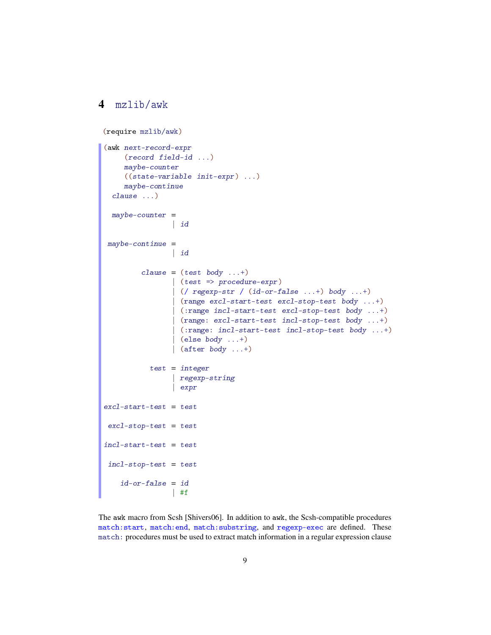#### <span id="page-8-0"></span>4 mzlib/awk

 $id-or-false = id$ 

| #f

```
(require mzlib/awk)
(awk next-record-expr
    (record field-id ...)
    maybe-counter
     ((state-variable init-expr) ...)
    maybe-continue
  clause ...)
 maybe-counter =
                | id
may be-continue =
                | id
         clause = (test body ...+)| (test => procedure-expr)
                | (/ regexp-str / (id-or-false ...+) body ...+)
                | (range excl-start-test excl-stop-test body ...+)
                | (:range incl-start-test excl-stop-test body ...+)
                | (range: excl-start-test incl-stop-test body ...+)
                | (:range: incl-start-test incl-stop-test body ...+)
                \vert (else body ...+)
                \vert (after body ...+)
           test = integer| regexp-string
                | expr
excl-start-test = testexcl-stop-test = testincl-start-test = testinc1-stop-test = test
```
The awk macro from Scsh [Shivers06]. In addition to awk, the Scsh-compatible procedures match:start, match:end, match:substring, and regexp-exec are defined. These match: procedures must be used to extract match information in a regular expression clause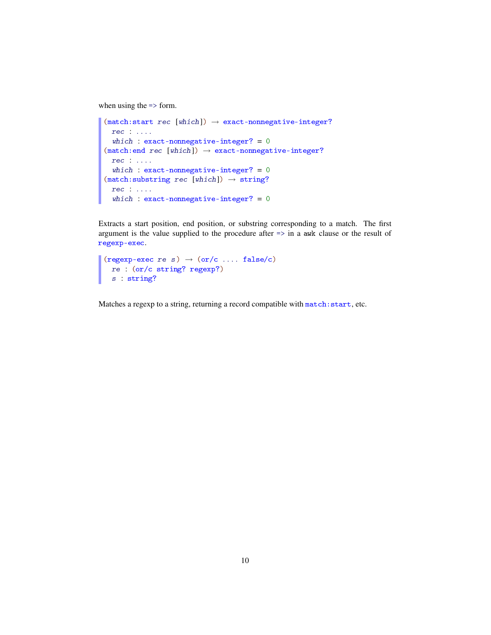when using the => form.

```
(match:start \text{ } rec \text{ } [which]) \rightarrow exact-nonnegative-integer?rec : ....
  which : exact-nonnegative-integer? = 0(match:end \text{rec } [which]) \rightarrow exact-nonnegative-integer?rec : ....
  which : exact-nonnegative-integer? = 0(match:substring \text{rec } [which]) \rightarrow string?rec : ....
  which : exact-nonnegative-integer? = 0
```
Extracts a start position, end position, or substring corresponding to a match. The first argument is the value supplied to the procedure after => in a awk clause or the result of regexp-exec.

```
(regexp-exec re s) \rightarrow (or/c .... false/c)
  re : (or/c string? regexp?)
  s : string?
```
Matches a regexp to a string, returning a record compatible with match: start, etc.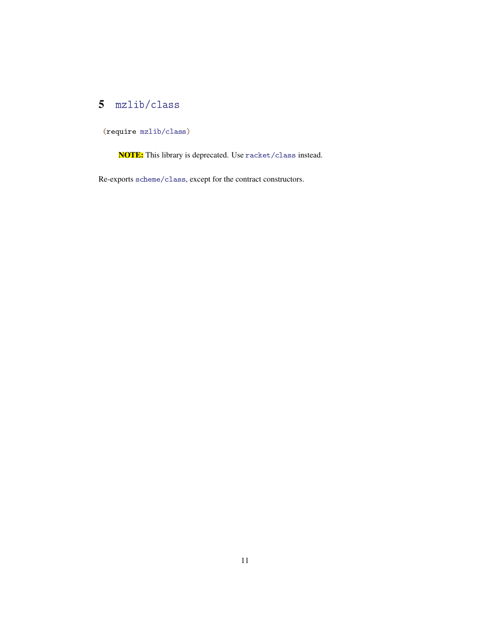# <span id="page-10-0"></span>5 mzlib/class

(require mzlib/class)

NOTE: This library is deprecated. Use racket/class instead.

Re-exports scheme/class, except for the contract constructors.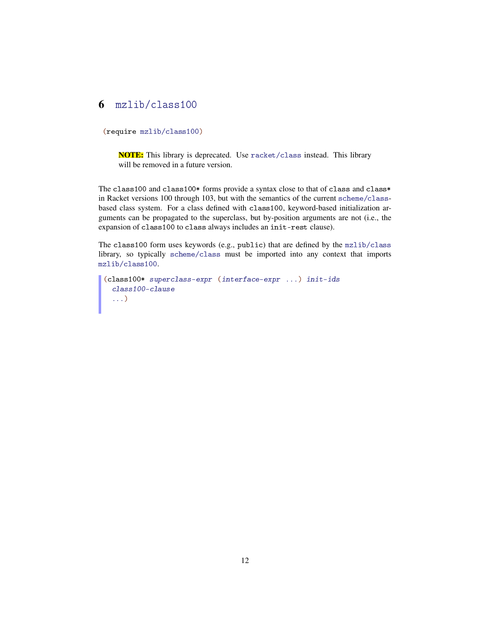#### <span id="page-11-0"></span>6 mzlib/class100

(require mzlib/class100)

NOTE: This library is deprecated. Use racket/class instead. This library will be removed in a future version.

The class100 and class100\* forms provide a syntax close to that of class and class\* in Racket versions 100 through 103, but with the semantics of the current scheme/classbased class system. For a class defined with class100, keyword-based initialization arguments can be propagated to the superclass, but by-position arguments are not (i.e., the expansion of class100 to class always includes an init-rest clause).

The class100 form uses keywords (e.g., public) that are defined by the mzlib/class library, so typically scheme/class must be imported into any context that imports mzlib/class100.

```
(class100* superclass-expr (interface-expr ...) init-ids
 class100-clause
  ...)
```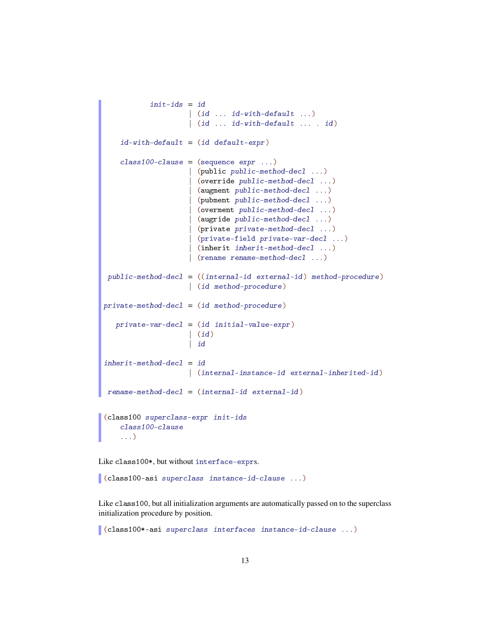```
init-ids = id\vert (id ... id-with-default ...)
                    | (id ... id-with-default ... . id)
   id-with-default = (id default-expr)class100-clause = (sequence expr ...)(public public - method-dec1 ...)| (override public-method-decl ...)
                      | (augment public-method-decl ...)
                      | (pubment public-method-decl ...)
                      | (overment public-method-decl ...)
                      (augride public-method-dec1 ...)| (private private-method-decl ...)
                      | (private-field private-var-decl ...)
                      (inherit <i>inherit</i>-method-decl ...)(rename rename-method-decl ...)
public-method-decl = ((internal-id external-id) method-procedure)
                    | (id method-procedure)
private-method-decl = (id method-procedure)
   private-var-decl = (id initial-value-expr)| (id)
                    | id
inherit-method-dec1 = id| (internal-instance-id external-inherited-id)
rename-method-decl = (internal-id external-id)
(class100 superclass-expr init-ids
    class100-clause
    ...)
```
Like class100\*, but without interface-exprs.

(class100-asi superclass instance-id-clause ...)

Like class100, but all initialization arguments are automatically passed on to the superclass initialization procedure by position.

(class100\*-asi superclass interfaces instance-id-clause ...)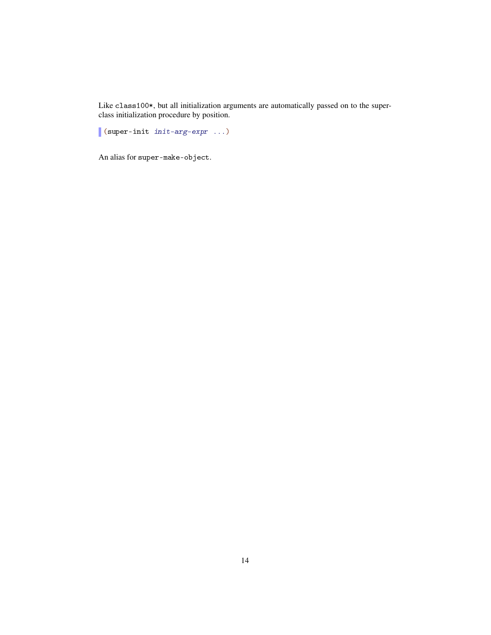Like class100\*, but all initialization arguments are automatically passed on to the superclass initialization procedure by position.

(super-init init-arg-expr ...)

An alias for super-make-object.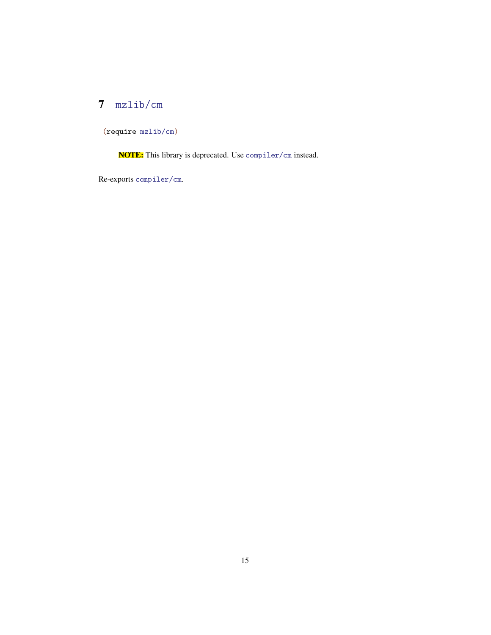## <span id="page-14-0"></span>7 mzlib/cm

(require mzlib/cm)

NOTE: This library is deprecated. Use compiler/cm instead.

Re-exports compiler/cm.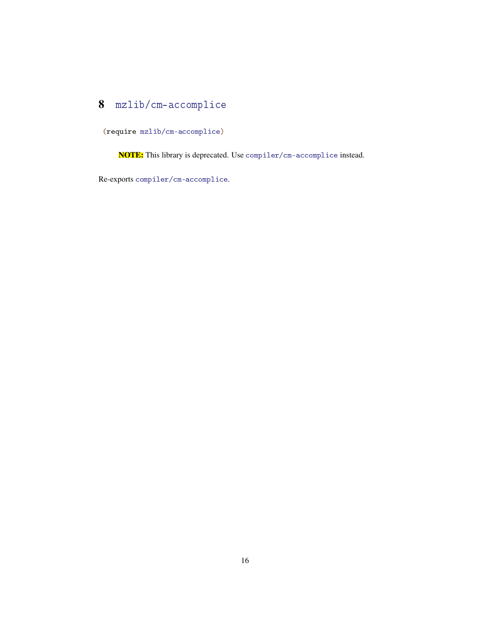## <span id="page-15-0"></span>8 mzlib/cm-accomplice

(require mzlib/cm-accomplice)

NOTE: This library is deprecated. Use compiler/cm-accomplice instead.

Re-exports compiler/cm-accomplice.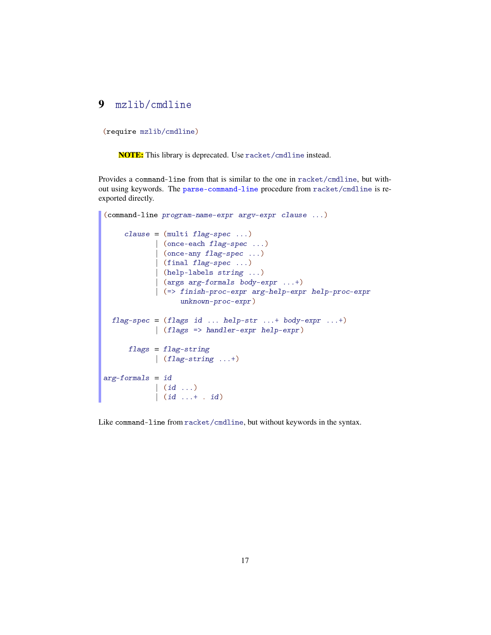#### <span id="page-16-0"></span>9 mzlib/cmdline

(require mzlib/cmdline)

NOTE: This library is deprecated. Use racket/cmdline instead.

Provides a command-line from that is similar to the one in racket/cmdline, but without using keywords. The parse-command-line procedure from racket/cmdline is reexported directly.

```
(command-line program-name-expr argv-expr clause ...)
     clause = (multi flag-specific ...)| (once-each flag-spec ...)
             | (once-any flag-spec ...)
             | (final flag-spec ...)
             | (help-labels string ...)
             | (args arg-formals body-expr ...+)
             | (=> finish-proc-expr arg-help-expr help-proc-expr
                   unknown-proc-expr)
  flag-specific = (flags id ... help-str ...+ body-expr ...+)| (flags => handler-expr help-expr)
      flags = flag-string| (flag-string ...+)
arg-formals = id\begin{pmatrix} id & \cdots \end{pmatrix}(i d \ldots + i d)
```
Like command-line from racket/cmdline, but without keywords in the syntax.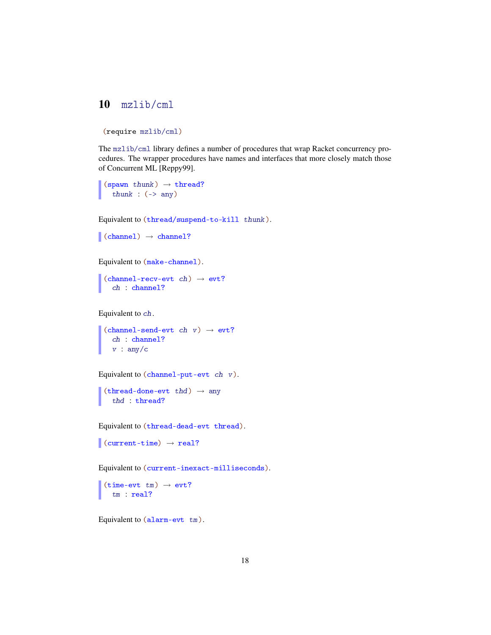### <span id="page-17-0"></span>10 mzlib/cml

```
(require mzlib/cml)
```
The mzlib/cml library defines a number of procedures that wrap Racket concurrency procedures. The wrapper procedures have names and interfaces that more closely match those of Concurrent ML [Reppy99].

```
(spawn thunk) \rightarrow thread?
  thunk : (-) any)
```
Equivalent to (thread/suspend-to-kill thunk).

```
\vert (channel) \rightarrow channel?
```
Equivalent to (make-channel).

(channel-recv-evt ch)  $\rightarrow$  evt? ch : channel?

Equivalent to ch.

 $(charnel-send-evt ch v) \rightarrow evt?$ ch : channel?  $v : any/c$ 

```
Equivalent to (channel-put-evt ch v).
```

```
(thread-done-evt thd) \rightarrow any
  thd : thread?
```

```
Equivalent to (thread-dead-evt thread).
```

```
\vert (current-time) \rightarrow real?
```
Equivalent to (current-inexact-milliseconds).

(time-evt  $tm) \rightarrow \text{evt?}$ tm : real?

Equivalent to (alarm-evt tm).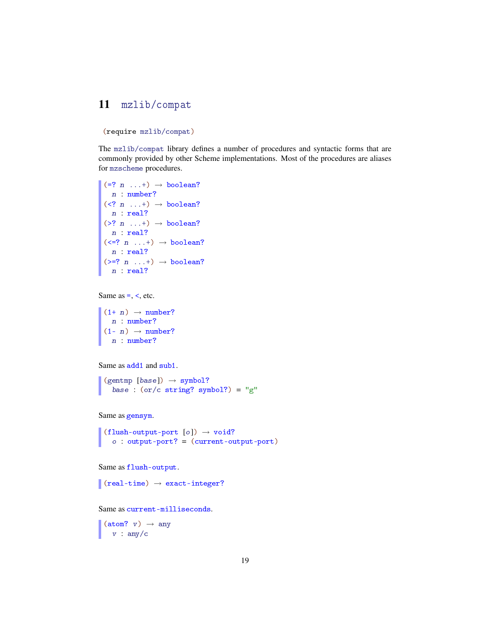#### <span id="page-18-0"></span>11 mzlib/compat

(require mzlib/compat)

The mzlib/compat library defines a number of procedures and syntactic forms that are commonly provided by other Scheme implementations. Most of the procedures are aliases for mzscheme procedures.

```
(= ? n ...+) \rightarrow boolean?n : number?
(\langle ? \ n \dots + \rangle \rightarrow boolean?n : real?
(\geq ? \quad n \quad \ldots +) \rightarrow \text{boolean?}n : real?
(\langle =? n \ldots + \rangle \rightarrow boolean?n : real?
(\geq ? \ n \dots+) \rightarrow boolean?n : real?
```

```
Same as =, \lt, etc.
```
 $(1+ n) \rightarrow number?$ n : number?  $(1- n) \rightarrow number?$ n : number?

Same as add1 and sub1.

 $(gentmp [base]) \rightarrow symbol?$ base :  $(or/c \text{ string? symbol?)} = "g"$ 

```
Same as gensym.
```
 $(flush-output-port [o]) \rightarrow void?$ o : output-port? = (current-output-port)

Same as flush-output.

 $\vert$  (real-time)  $\rightarrow$  exact-integer?

Same as current-milliseconds.

 $(\text{atom? } v) \rightarrow \text{any}$  $v : any/c$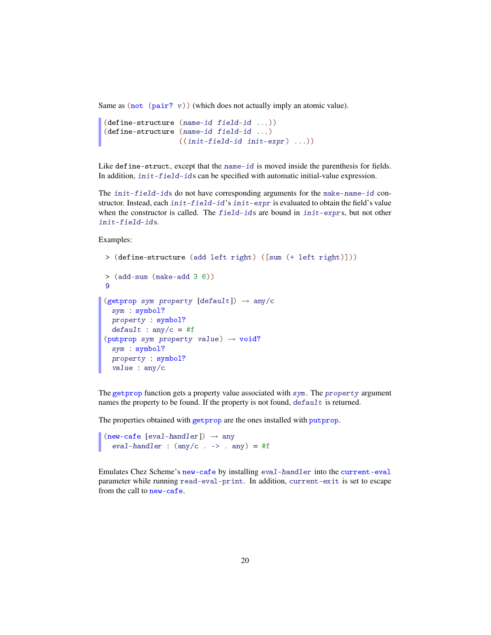Same as  $(not (pair? v))$  (which does not actually imply an atomic value).

```
(define-structure (name-id field-id ...))
(define-structure (name-id field-id ...)
                 ((init-field-id init-expr) ...))
```
Like define-struct, except that the name-id is moved inside the parenthesis for fields. In addition, init-field-ids can be specified with automatic initial-value expression.

The init-field-ids do not have corresponding arguments for the make-name-id constructor. Instead, each init-field-id's init-expr is evaluated to obtain the field's value when the constructor is called. The field-ids are bound in init-exprs, but not other init-field-ids.

Examples:

```
> (define-structure (add left right) ([sum (+ left right)]))
> (add-sum (make-add 3 6))
9
(getprop sym property [default]) \rightarrow any/c
 sym : symbol?
  property : symbol?
  default : any/c = #f(putprop sym property value) \rightarrow void?
  sym : symbol?
  property : symbol?
  value : any/c
```
The getprop function gets a property value associated with sym. The property argument names the property to be found. If the property is not found, default is returned.

The properties obtained with getprop are the ones installed with putprop.

```
(new-cafe [eval-handler]) \rightarrow any
   eval-handler : (\text{any}/c \cdot -) \cdot \text{any}) = #f
```
Emulates Chez Scheme's new-cafe by installing eval-handler into the current-eval parameter while running read-eval-print. In addition, current-exit is set to escape from the call to new-cafe.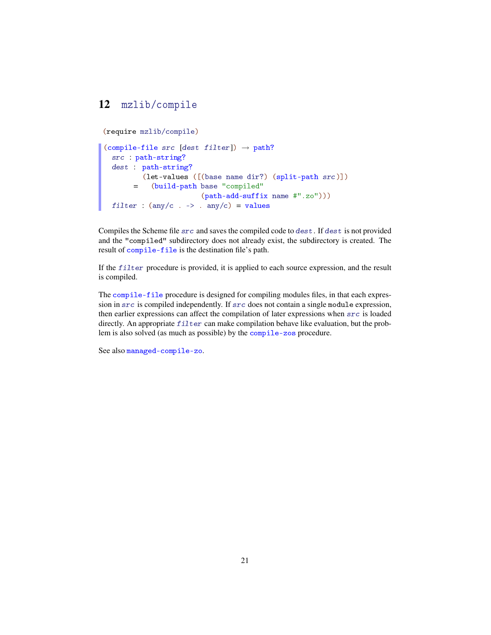### <span id="page-20-0"></span>12 mzlib/compile

(require mzlib/compile)

```
(compile-file src [dest filter]) \rightarrow path?
  src : path-string?
  dest : path-string?
        =
(build-path base "compiled"
          (let-values ([(base name dir?) (split-path src)])
                          (path-add-suffix name #".zo")))
  filter : (\text{any}/c \cdot -) \cdot \text{any}/c) = \text{values}
```
Compiles the Scheme file src and saves the compiled code to dest. If dest is not provided and the "compiled" subdirectory does not already exist, the subdirectory is created. The result of compile-file is the destination file's path.

If the  $filter$  procedure is provided, it is applied to each source expression, and the result is compiled.

The compile-file procedure is designed for compiling modules files, in that each expression in src is compiled independently. If src does not contain a single module expression, then earlier expressions can affect the compilation of later expressions when src is loaded directly. An appropriate  $f$  i  $l$  ter can make compilation behave like evaluation, but the problem is also solved (as much as possible) by the compile-zos procedure.

See also managed-compile-zo.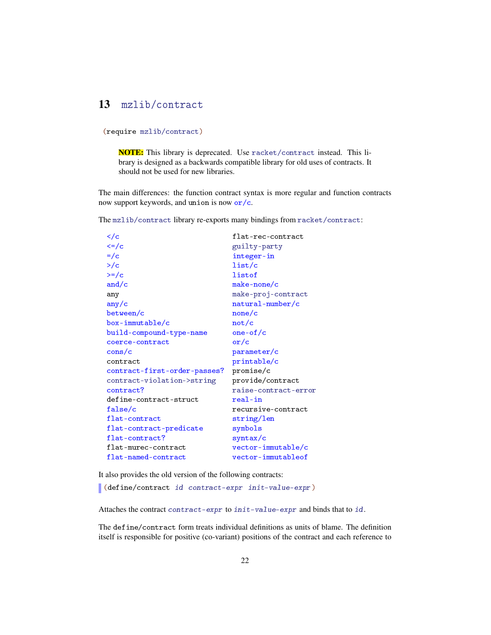### <span id="page-21-0"></span>13 mzlib/contract

(require mzlib/contract)

NOTE: This library is deprecated. Use racket/contract instead. This library is designed as a backwards compatible library for old uses of contracts. It should not be used for new libraries.

The main differences: the function contract syntax is more regular and function contracts now support keywords, and union is now or/c.

The mzlib/contract library re-exports many bindings from racket/contract:

| $\lt/c$                         | flat-rec-contract    |
|---------------------------------|----------------------|
| $\left\langle =\right\rangle$ c | guilty-party         |
| $=$ / $<$                       | integer-in           |
| $>$ / $\circ$                   | list/c               |
| $>=/c$                          | listof               |
| and/ $c$                        | $make-none/c$        |
| any                             | make-proj-contract   |
| any/c                           | natural-number/c     |
| between/c                       | none/c               |
| box-immutable/c                 | not/c                |
| build-compound-type-name        | one-of/c             |
| coerce-contract                 | $\sigma r/c$         |
| $\frac{\text{cons}}{\text{c}}$  | parameter/c          |
| contract                        | printable/c          |
| contract-first-order-passes?    | promise/c            |
| contract-violation->string      | provide/contract     |
| contract?                       | raise-contract-error |
| define-contract-struct          | real-in              |
| false/c                         | recursive-contract   |
| flat-contract                   | string/len           |
| flat-contract-predicate         | symbols              |
| flat-contract?                  | syntax/c             |
| flat-murec-contract             | vector-immutable/c   |
| flat-named-contract             | vector-immutableof   |

It also provides the old version of the following contracts:

(define/contract id contract-expr init-value-expr)

Attaches the contract contract-expr to init-value-expr and binds that to id.

The define/contract form treats individual definitions as units of blame. The definition itself is responsible for positive (co-variant) positions of the contract and each reference to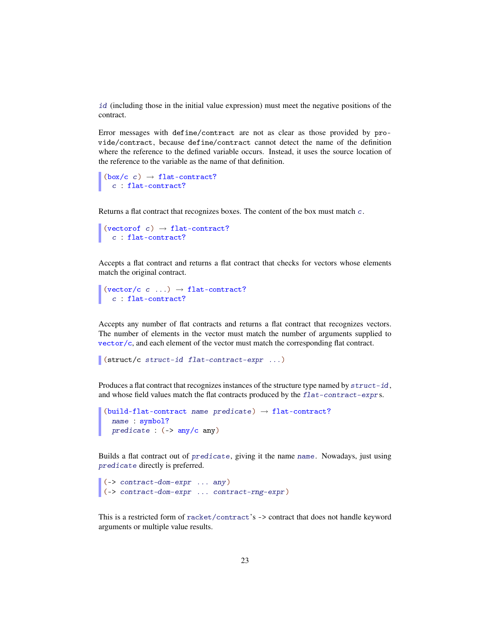id (including those in the initial value expression) must meet the negative positions of the contract.

Error messages with define/contract are not as clear as those provided by provide/contract, because define/contract cannot detect the name of the definition where the reference to the defined variable occurs. Instead, it uses the source location of the reference to the variable as the name of that definition.

```
(box/c c) \rightarrow flat-contract?c : flat-contract?
```
Returns a flat contract that recognizes boxes. The content of the box must match c.

```
(vectorof c) \rightarrow flat-contract?
 c : flat-contract?
```
Accepts a flat contract and returns a flat contract that checks for vectors whose elements match the original contract.

```
(vector/c c ...) \rightarrow flat-contract?
  c : flat-contract?
```
Accepts any number of flat contracts and returns a flat contract that recognizes vectors. The number of elements in the vector must match the number of arguments supplied to vector/c, and each element of the vector must match the corresponding flat contract.

(struct/c struct-id flat-contract-expr ...)

Produces a flat contract that recognizes instances of the structure type named by  $struct-id$ , and whose field values match the flat contracts produced by the  $flat-contract-exprs$ .

```
(build-flat-contract name predicate) \rightarrow flat-contract?
  name : symbol?
  predicate : ( > any/c any)
```
Builds a flat contract out of predicate, giving it the name name. Nowadays, just using predicate directly is preferred.

```
(-> contract-dom-expr ... any)
(-> contract-dom-expr ... contract-rng-expr)
```
This is a restricted form of racket/contract's -> contract that does not handle keyword arguments or multiple value results.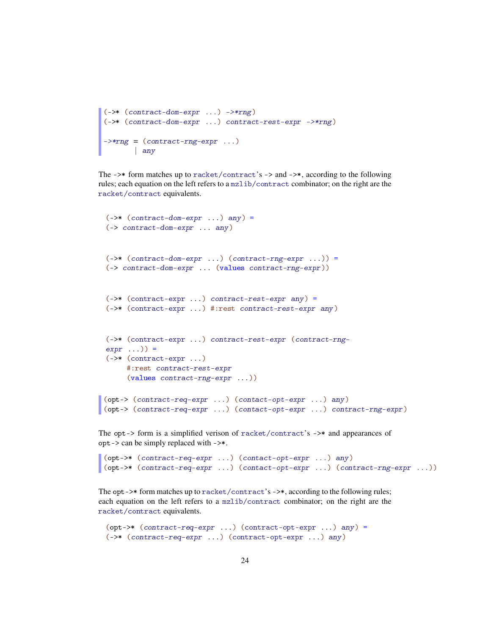```
(-)* (contract-down-expr ...) -><sup>*</sup>(->* (contract-dom-expr ...) contract-rest-expr ->*rng)
\rightarrow*rng = (contract-rng-expr ...)
      | any
```
The  $\rightarrow\ast$  form matches up to racket/contract's  $\rightarrow$  and  $\rightarrow\ast$ , according to the following rules; each equation on the left refers to a mzlib/contract combinator; on the right are the racket/contract equivalents.

```
(-)* (contract-down-expr \dots) any) =
 (-> contract-dom-expr ... any)
 (-)* (contract-down-expr ...)(contract-rng-expr ...)) =(-> contract-dom-expr ... (values contract-rng-expr))
 (-)* (contract-expr ...) contract-rest-expr any) =
 (->* (contract-expr ...) #:rest contract-rest-expr any)
 (->* (contract-expr ...) contract-rest-expr (contract-rng-
 expr ...)) =
 (->* (contract-expr ...)
      #:rest contract-rest-expr
      (values contract-rng-expr ...))
\vert (opt-> (contract-req-expr ...) (contact-opt-expr ...) any)
(opt-> (contract-req-expr ...) (contact-opt-expr ...) contract-rng-expr)
```
The opt-> form is a simplified verison of racket/contract's ->\* and appearances of opt-> can be simply replaced with ->\*.

```
(opt->* (contract-req-expr ...) (contact-opt-expr ...) any)
(opt->* (contract-req-expr ...) (contact-opt-expr ...) (contract-rng-expr ...))
```
The opt->\* form matches up to racket/contract's ->\*, according to the following rules; each equation on the left refers to a mzlib/contract combinator; on the right are the racket/contract equivalents.

```
(opt->* (contract-req-expr ...)(contract-opt-expr ...)(->* (contract-req-expr ...) (contract-opt-expr ...) any)
```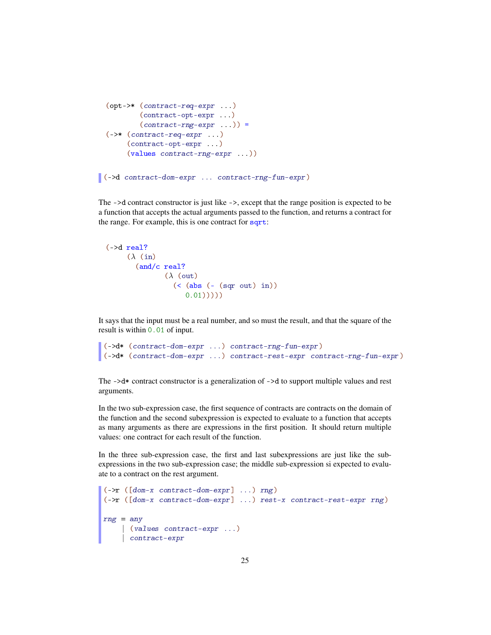```
(opt->* (contract-req-expr ...)
         (contract-opt-expr ...)
         (contract-rng-expr...) =
 (->* (contract-req-expr ...)
      (contract-opt-expr ...)
      (values contract-rng-expr ...))
(->d contract-dom-expr ... contract-rng-fun-expr)
```
The ->d contract constructor is just like ->, except that the range position is expected to be a function that accepts the actual arguments passed to the function, and returns a contract for the range. For example, this is one contract for sqrt:

```
(-> d \text{ real?})(\lambda)(in)(and/c real?
                 (\lambda (out)
                    (< (abs (- (sqr out) in))
                        (0.01))))
```
It says that the input must be a real number, and so must the result, and that the square of the result is within 0.01 of input.

```
(->d* (contract-dom-expr ...) contract-rng-fun-expr)
(->d* (contract-dom-expr ...) contract-rest-expr contract-rng-fun-expr)
```
The  $-\lambda d*$  contract constructor is a generalization of  $-\lambda d$  to support multiple values and rest arguments.

In the two sub-expression case, the first sequence of contracts are contracts on the domain of the function and the second subexpression is expected to evaluate to a function that accepts as many arguments as there are expressions in the first position. It should return multiple values: one contract for each result of the function.

In the three sub-expression case, the first and last subexpressions are just like the subexpressions in the two sub-expression case; the middle sub-expression si expected to evaluate to a contract on the rest argument.

```
(->r ([dom-x contract-dom-expr] ...) rng)
(->r ([dom-x contract-dom-expr] ...) rest-x contract-rest-expr rng)
rng = any| (values contract-expr ...)
    | contract-expr
```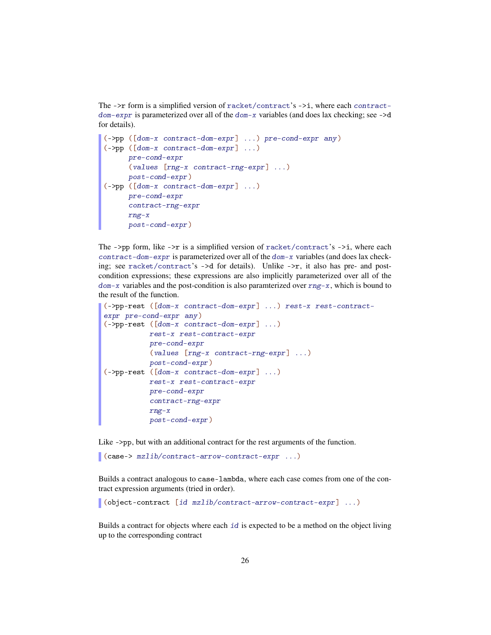The  $\rightarrow$ r form is a simplified version of racket/contract's  $\rightarrow$ i, where each contractdom-expr is parameterized over all of the dom-x variables (and does lax checking; see ->d for details).

```
(->pp ([dom-x contract-dom-expr] ...) pre-cond-expr any)
(->pp ([dom-x contract-dom-expr] ...)
     pre-cond-expr
     (values [rng-x contract-rng-expr] ...)
     post-cond-expr)
(->pp ([dom-x contract-dom-expr] ...)
     pre-cond-expr
     contract-rng-expr
     rng-x
     post-cond-expr)
```
The ->pp form, like ->r is a simplified version of racket/contract's ->i, where each contract-dom-expr is parameterized over all of the dom-x variables (and does lax checking; see racket/contract's  $-\geq d$  for details). Unlike  $-\geq r$ , it also has pre- and postcondition expressions; these expressions are also implicitly parameterized over all of the  $dom-x$  variables and the post-condition is also paramterized over  $rng-x$ , which is bound to the result of the function.

```
(->pp-rest ([dom-x contract-dom-expr] ...) rest-x rest-contract-
expr pre-cond-expr any)
(->pp-rest ([dom-x contract-dom-expr] ...)
          rest-x rest-contract-expr
          pre-cond-expr
          (values [rng-x contract-rng-expr] ...)
          post-cond-expr)
(->pp-rest ([dom-x contract-dom-expr] ...)
         rest-x rest-contract-expr
          pre-cond-expr
          contract-rng-expr
          rng-x
          post-cond-expr)
```
Like ->pp, but with an additional contract for the rest arguments of the function.

(case-> mzlib/contract-arrow-contract-expr ...)

Builds a contract analogous to case-lambda, where each case comes from one of the contract expression arguments (tried in order).

(object-contract [id mzlib/contract-arrow-contract-expr] ...)

Builds a contract for objects where each id is expected to be a method on the object living up to the corresponding contract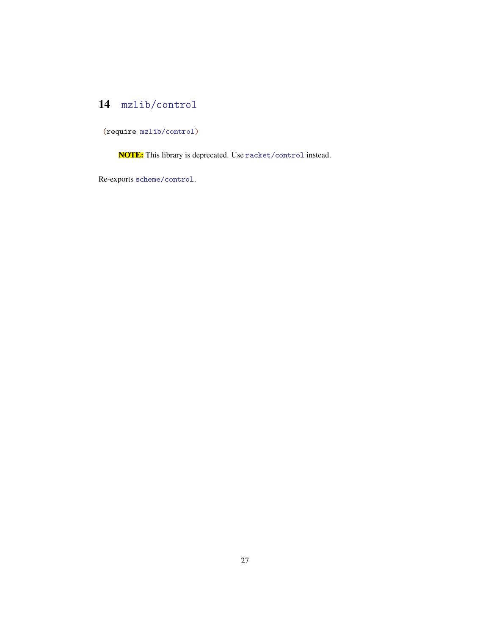### <span id="page-26-0"></span>14 mzlib/control

(require mzlib/control)

NOTE: This library is deprecated. Use racket/control instead.

Re-exports scheme/control.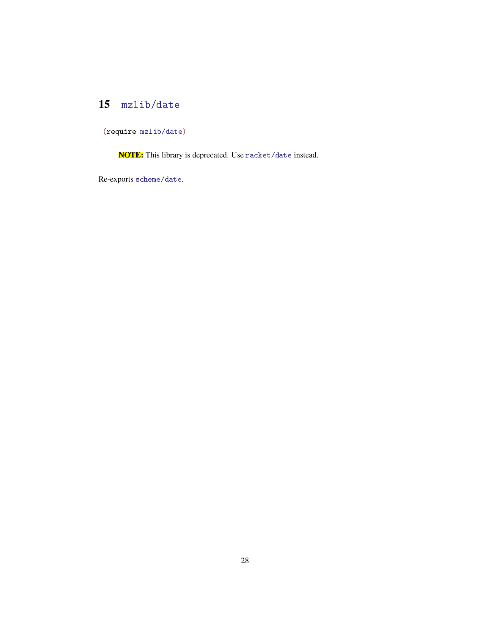### <span id="page-27-0"></span>15 mzlib/date

(require mzlib/date)

NOTE: This library is deprecated. Use racket/date instead.

Re-exports scheme/date.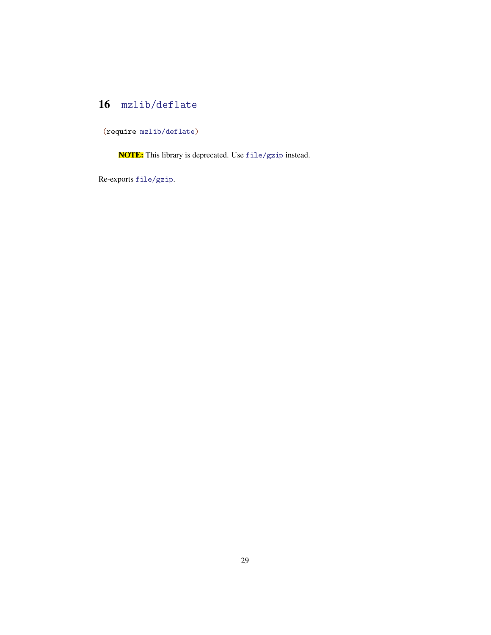### <span id="page-28-0"></span>16 mzlib/deflate

(require mzlib/deflate)

NOTE: This library is deprecated. Use file/gzip instead.

Re-exports file/gzip.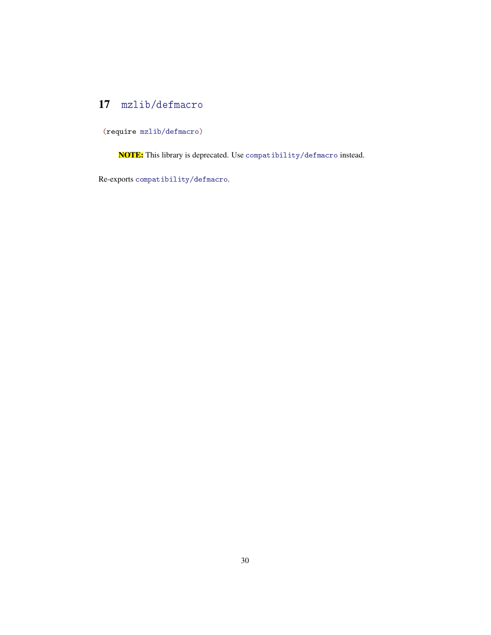### <span id="page-29-0"></span>17 mzlib/defmacro

(require mzlib/defmacro)

NOTE: This library is deprecated. Use compatibility/defmacro instead.

Re-exports compatibility/defmacro.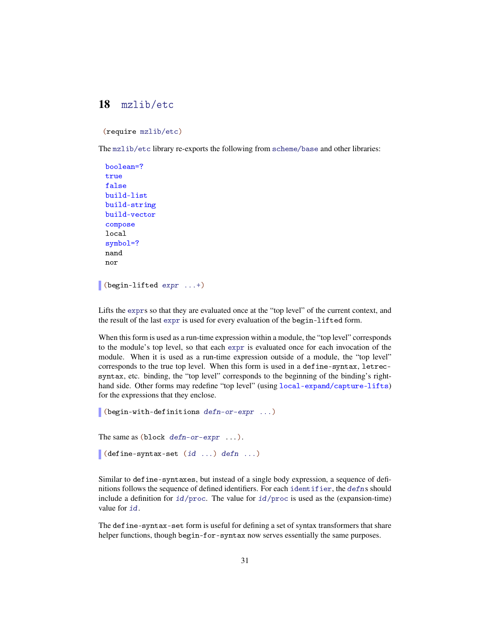#### <span id="page-30-0"></span>18 mzlib/etc

(require mzlib/etc)

The mzlib/etc library re-exports the following from scheme/base and other libraries:

```
boolean=?
 true
 false
 build-list
 build-string
 build-vector
 compose
 local
 symbol=?
 nand
 nor
(begin-lifted expr ...+)
```
Lifts the exprs so that they are evaluated once at the "top level" of the current context, and the result of the last expr is used for every evaluation of the begin-lifted form.

When this form is used as a run-time expression within a module, the "top level" corresponds to the module's top level, so that each expr is evaluated once for each invocation of the module. When it is used as a run-time expression outside of a module, the "top level" corresponds to the true top level. When this form is used in a define-syntax, letrecsyntax, etc. binding, the "top level" corresponds to the beginning of the binding's righthand side. Other forms may redefine "top level" (using local-expand/capture-lifts) for the expressions that they enclose.

```
(begin-with-definitions defn-or-expr ...)
The same as (block defn-or-expr ...).(define-syntax-set (id ...) defn ...)
```
Similar to define-syntaxes, but instead of a single body expression, a sequence of definitions follows the sequence of defined identifiers. For each identifier, the defns should include a definition for  $id/proc$ . The value for  $id/proc$  is used as the (expansion-time) value for id.

The define-syntax-set form is useful for defining a set of syntax transformers that share helper functions, though begin-for-syntax now serves essentially the same purposes.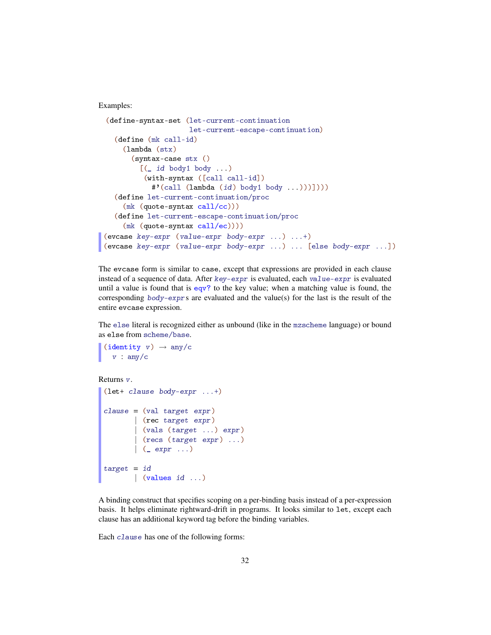Examples:

```
(define-syntax-set (let-current-continuation
                     let-current-escape-continuation)
   (define (mk call-id)
     (lambda (stx)
       (syntax-case stx ()
         [(id body1 body ...)
          (with-syntax ([call call-id])
            #'(call (lambda (id) body1 body ...)))])))
   (define let-current-continuation/proc
     (mk (quote-syntax call/cc)))
   (define let-current-escape-continuation/proc
     (mk (quote-syntax call/ec))))
(evcase key-expr (value-expr body-expr ...) ...+)
(evcase key-expr (value-expr body-expr ...) ... [else body-expr ...])
```
The evcase form is similar to case, except that expressions are provided in each clause instead of a sequence of data. After key-expr is evaluated, each value-expr is evaluated until a value is found that is  $eqv$ ? to the key value; when a matching value is found, the corresponding  $body$ -exprs are evaluated and the value(s) for the last is the result of the entire evcase expression.

The else literal is recognized either as unbound (like in the mzscheme language) or bound as else from scheme/base.

```
(identity v) \rightarrow any/cv : any/c
```
Returns v.

```
(let+ clause body-expr ...+)
clause = (val target expr)| (rec target expr)
        | (vals (target ...) expr)
       | (recs (target expr) ...)
       |\quad ( expr \ldots)target = id\vert (values id ...)
```
A binding construct that specifies scoping on a per-binding basis instead of a per-expression basis. It helps eliminate rightward-drift in programs. It looks similar to let, except each clause has an additional keyword tag before the binding variables.

Each clause has one of the following forms: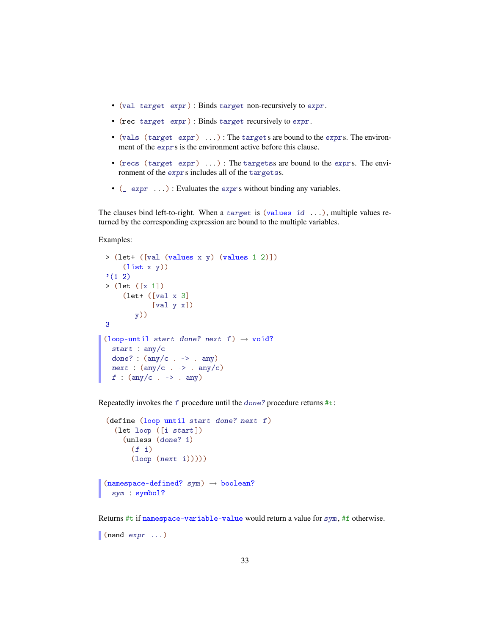- (val target expr) : Binds target non-recursively to expr.
- (rec target expr) : Binds target recursively to expr.
- (vals (target expr)  $\dots$ ): The targets are bound to the exprs. The environment of the exprs is the environment active before this clause.
- (recs (target expr)  $\dots$ ) : The targetss are bound to the exprs. The environment of the exprs includes all of the targetss.
- ( $\Box$  expr  $\dots$ ) : Evaluates the exprs without binding any variables.

The clauses bind left-to-right. When a target is (values id ...), multiple values returned by the corresponding expression are bound to the multiple variables.

Examples:

```
> (let+ ([val (values x y) (values 1 2)])
     (list x y))
'(1)> (let ([x 1])
     (let+ ([val x 3]
              [val y x])
         y))
3
(loop-until start done? next f) \rightarrow void?
  start : any/c
  done? : (\text{any/c} \rightarrow -\rangle . any)
  next : (\text{any}/c \t - > \t any/c)f : \text{(any/c . -> . any)}
```
Repeatedly invokes the  $f$  procedure until the done? procedure returns  $\#t$ :

```
(define (loop-until start done? next f)
  (let loop ([i start])
    (unless (done? i)
       (f \ i)(log p (next i))))(namespace-defined? sym) \rightarrow boolean?sym : symbol?
```
Returns #t if namespace-variable-value would return a value for sym, #f otherwise.

(nand  $expr \dots)$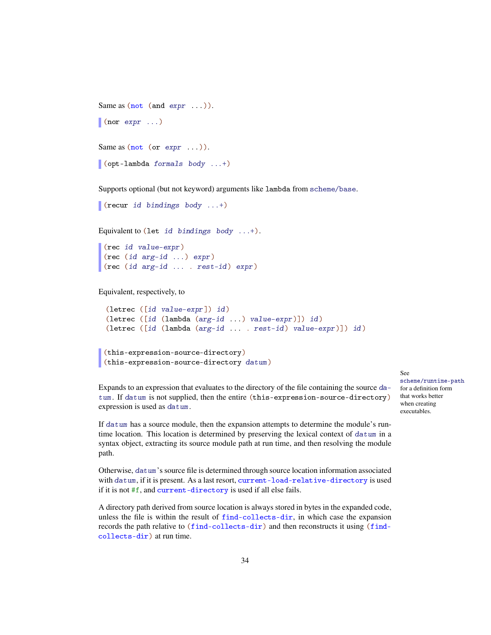```
Same as (\text{not } (\text{and } \text{expr } \dots)).\blacksquare (nor expr ...)
Same as (not (or expr ...)).(opt-lambda formals body ...+)
```
Supports optional (but not keyword) arguments like lambda from scheme/base.

```
(recur id bindings body ...+)
```
Equivalent to (let id bindings body ...+).

```
(rec id value-expr)
(rec (id arg-id ...) expr)
(rec (id arg-id ... . rest-id) expr)
```
Equivalent, respectively, to

```
(letrec ([id value-expr]) id)
(letrec ([id (lambda (arg-id ...) value-expr)]) id)
(letrec ([id (lambda (arg-id ... . rest-id) value-expr)]) id)
```

```
(this-expression-source-directory)
(this-expression-source-directory datum)
```
Expands to an expression that evaluates to the directory of the file containing the source datum. If datum is not supplied, then the entire (this-expression-source-directory) expression is used as datum.

If datum has a source module, then the expansion attempts to determine the module's runtime location. This location is determined by preserving the lexical context of datum in a syntax object, extracting its source module path at run time, and then resolving the module path.

Otherwise, datum's source file is determined through source location information associated with datum, if it is present. As a last resort, current-load-relative-directory is used if it is not #f, and current-directory is used if all else fails.

A directory path derived from source location is always stored in bytes in the expanded code, unless the file is within the result of find-collects-dir, in which case the expansion records the path relative to (find-collects-dir) and then reconstructs it using (findcollects-dir) at run time.

#### See

scheme/runtime-path for a definition form that works better when creating executables.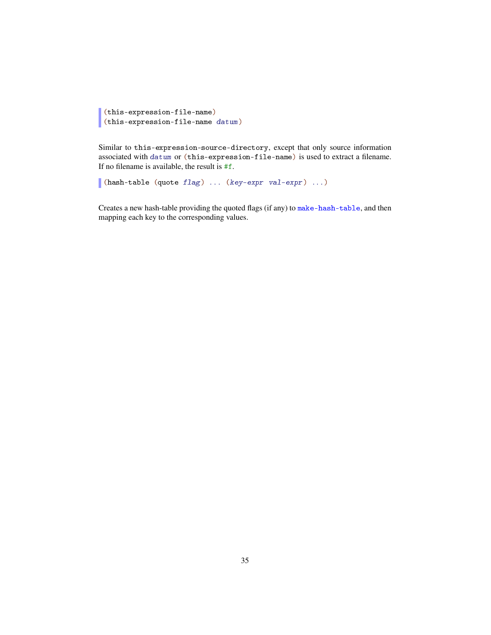```
(this-expression-file-name)
(this-expression-file-name datum)
```
Similar to this-expression-source-directory, except that only source information associated with datum or (this-expression-file-name) is used to extract a filename. If no filename is available, the result is  $#f$ .

```
(hash-table (quote flag) ... (key-expr val-expr) ...)
```
Creates a new hash-table providing the quoted flags (if any) to make-hash-table, and then mapping each key to the corresponding values.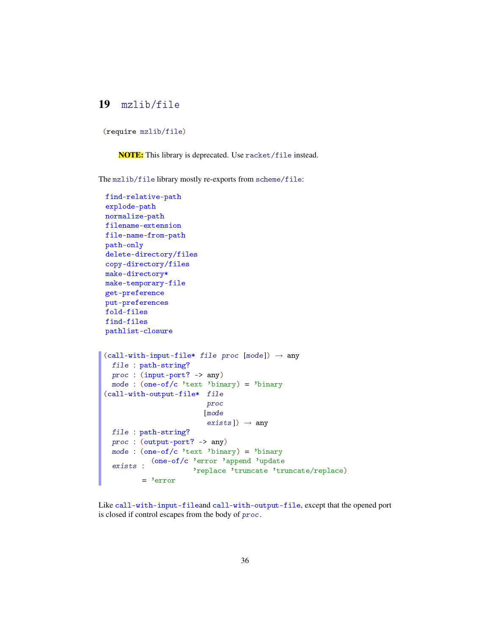#### <span id="page-35-0"></span>19 mzlib/file

(require mzlib/file)

NOTE: This library is deprecated. Use racket/file instead.

The mzlib/file library mostly re-exports from scheme/file:

```
find-relative-path
explode-path
normalize-path
filename-extension
file-name-from-path
path-only
delete-directory/files
copy-directory/files
make-directory*
make-temporary-file
get-preference
put-preferences
fold-files
find-files
pathlist-closure
(call-with-input-file* file proc [mode]) \rightarrow anyfile : path-string?
 proc : (input-port? -> any)
 mode : (one-of/c 'text 'binary) = 'binary
(call-with-output-file* file
                         proc
                        [mode
                         exists]) \rightarrow any
 file : path-string?
 proc : (output-port? -> any)
 mode : (one-of/c 'text 'binary) = 'binary
  exists :
(one-of/c 'error 'append 'update
                     'replace 'truncate 'truncate/replace)
         = 'error
```
Like call-with-input-fileand call-with-output-file, except that the opened port is closed if control escapes from the body of proc.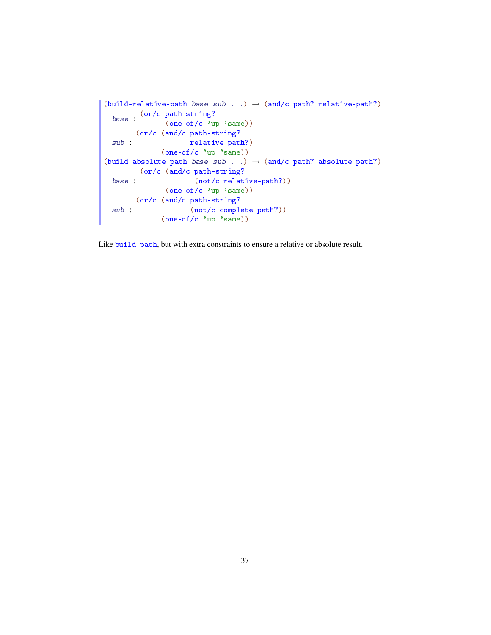```
(build-relative-path base sub ...) \rightarrow (and/c path? relative-path?)
  base : \frac{\text{(or/c path-string)}}{\text{(one of/c)}}(one-of/c 'up 'same))
 sub :
       (or/c (and/c path-string?
                      relative-path?)
              (one-of/c 'up 'same))
(buid-absolute-path base sub ...) \rightarrow (and/c path? absolute-path?)base :
         (or/c (and/c path-string?
                        (not/c relative-path?))
                (one-of/c 'up 'same))
  sub :
       (or/c (and/c path-string?
                      (not/c complete-path?))
               (one-of/c 'up 'same))
```
Like build-path, but with extra constraints to ensure a relative or absolute result.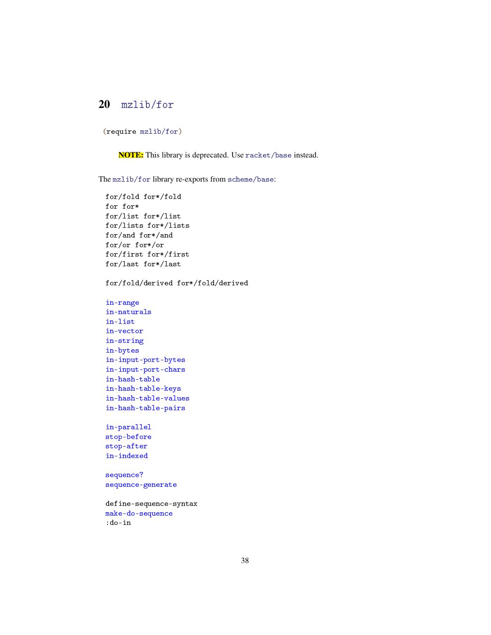# 20 mzlib/for

```
(require mzlib/for)
```
NOTE: This library is deprecated. Use racket/base instead.

The mzlib/for library re-exports from scheme/base:

```
for/fold for*/fold
for for*
for/list for*/list
for/lists for*/lists
for/and for*/and
for/or for*/or
for/first for*/first
for/last for*/last
for/fold/derived for*/fold/derived
in-range
in-naturals
in-list
in-vector
in-string
in-bytes
in-input-port-bytes
in-input-port-chars
in-hash-table
in-hash-table-keys
in-hash-table-values
in-hash-table-pairs
in-parallel
stop-before
stop-after
in-indexed
sequence?
sequence-generate
define-sequence-syntax
make-do-sequence
:do-in
```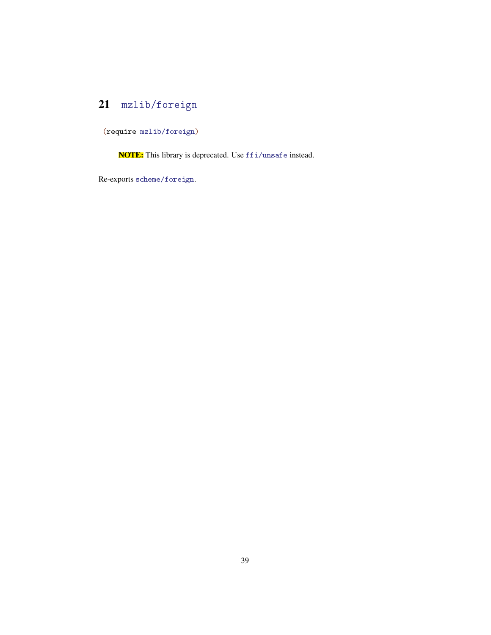# 21 mzlib/foreign

(require mzlib/foreign)

NOTE: This library is deprecated. Use ffi/unsafe instead.

Re-exports scheme/foreign.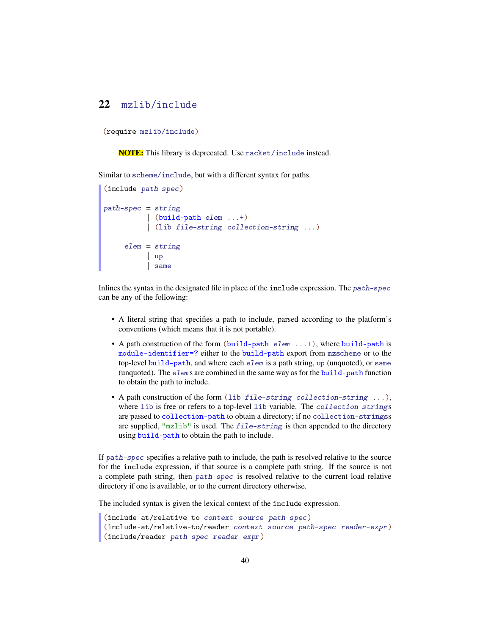# 22 mzlib/include

(require mzlib/include)

NOTE: This library is deprecated. Use racket/include instead.

Similar to scheme/include, but with a different syntax for paths.

```
(include path-spec)
path-specific = string| (build-path elem ...+)
          | (lib file-string collection-string ...)
     elem = string
        | up
          | same
```
Inlines the syntax in the designated file in place of the include expression. The  $path-specific$ can be any of the following:

- A literal string that specifies a path to include, parsed according to the platform's conventions (which means that it is not portable).
- A path construction of the form (build-path elem ...+), where build-path is module-identifier=? either to the build-path export from mzscheme or to the top-level build-path, and where each elem is a path string, up (unquoted), or same (unquoted). The elems are combined in the same way as for the build-path function to obtain the path to include.
- A path construction of the form (lib file-string collection-string ...), where lib is free or refers to a top-level lib variable. The collection-strings are passed to collection-path to obtain a directory; if no collection-stringss are supplied, "mzlib" is used. The file-string is then appended to the directory using build-path to obtain the path to include.

If path-spec specifies a relative path to include, the path is resolved relative to the source for the include expression, if that source is a complete path string. If the source is not a complete path string, then path-spec is resolved relative to the current load relative directory if one is available, or to the current directory otherwise.

The included syntax is given the lexical context of the include expression.

```
(include-at/relative-to context source path-spec)
(include-at/relative-to/reader context source path-spec reader-expr)
(include/reader path-spec reader-expr)
```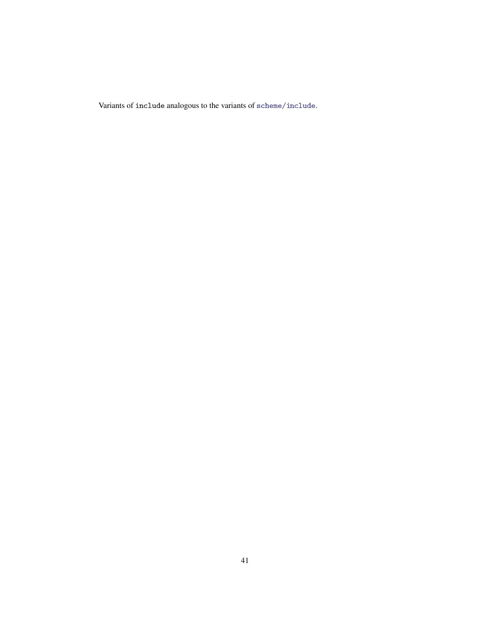Variants of include analogous to the variants of scheme/include.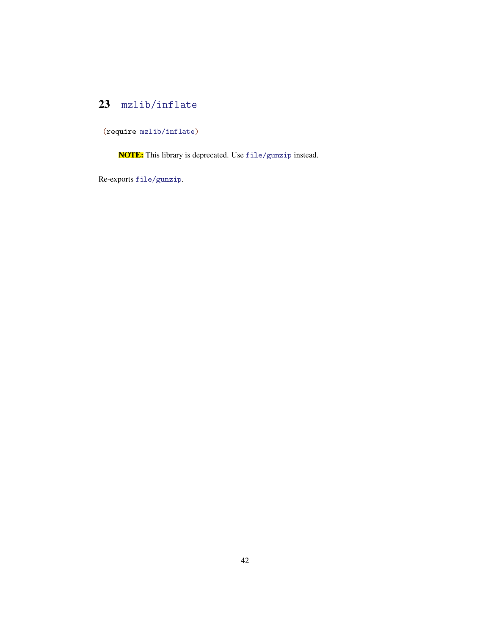# 23 mzlib/inflate

(require mzlib/inflate)

NOTE: This library is deprecated. Use file/gunzip instead.

Re-exports file/gunzip.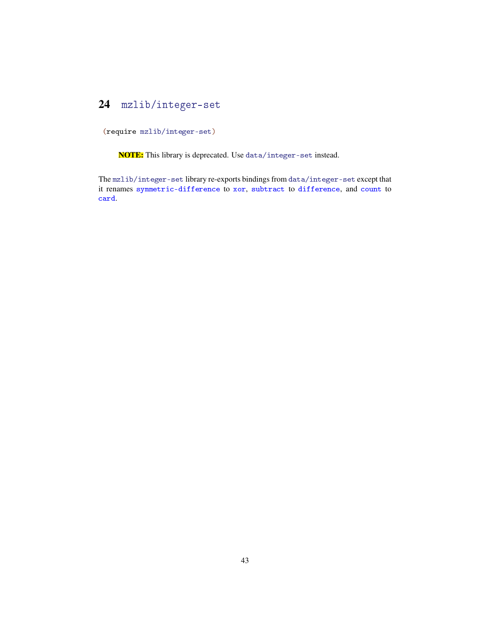# 24 mzlib/integer-set

(require mzlib/integer-set)

NOTE: This library is deprecated. Use data/integer-set instead.

The mzlib/integer-set library re-exports bindings from data/integer-set except that it renames symmetric-difference to xor, subtract to difference, and count to card.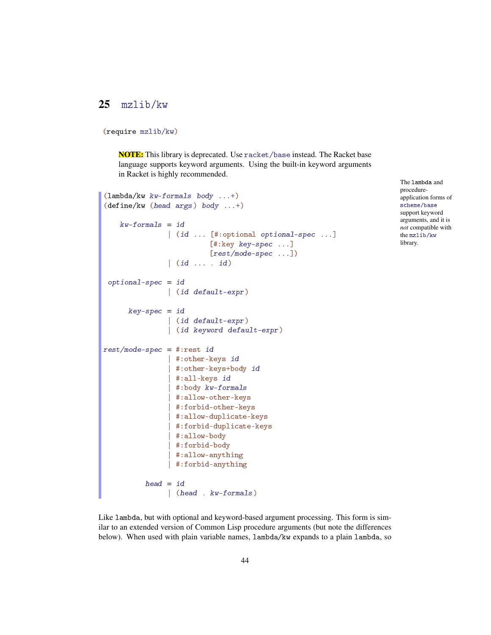## 25 mzlib/kw

```
(require mzlib/kw)
```
NOTE: This library is deprecated. Use racket/base instead. The Racket base language supports keyword arguments. Using the built-in keyword arguments in Racket is highly recommended.

```
(lambda/kw kw-formals body ...+)
(define/kw (head args) body ...+)
    kw\text{-}formals = id| (id ... [#:optional optional-spec ...]
                          [#:key key-spec ...]
                          [rest/mode-spec ...])
                | (id ... . id)
 optional-spec = id
                | (id default-expr)
      key-space = id| (id default-expr)
                | (id keyword default-expr)
rest/mode-spec = #:rest id
                | #:other-keys id
                 #:other-keys+body id
                | #:all-keys id
                | #:body kw-formals
                 | #:allow-other-keys
                 | #:forbid-other-keys
                 | #:allow-duplicate-keys
                 | #:forbid-duplicate-keys
                 #:allow-body
                 | #:forbid-body
                 #:allow-anything
                 #:forbid-anything
          head = id| (head . kw-formals)
```
The lambda and procedureapplication forms of scheme/base support keyword arguments, and it is *not* compatible with the mzlib/kw library.

Like lambda, but with optional and keyword-based argument processing. This form is similar to an extended version of Common Lisp procedure arguments (but note the differences below). When used with plain variable names, lambda/kw expands to a plain lambda, so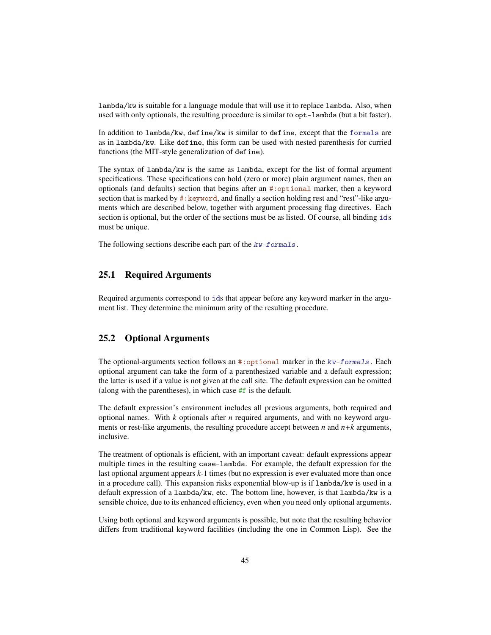lambda/kw is suitable for a language module that will use it to replace lambda. Also, when used with only optionals, the resulting procedure is similar to opt-lambda (but a bit faster).

In addition to lambda/kw, define/kw is similar to define, except that the formals are as in lambda/kw. Like define, this form can be used with nested parenthesis for curried functions (the MIT-style generalization of define).

The syntax of lambda/kw is the same as lambda, except for the list of formal argument specifications. These specifications can hold (zero or more) plain argument names, then an optionals (and defaults) section that begins after an #:optional marker, then a keyword section that is marked by #: keyword, and finally a section holding rest and "rest"-like arguments which are described below, together with argument processing flag directives. Each section is optional, but the order of the sections must be as listed. Of course, all binding ids must be unique.

The following sections describe each part of the kw-formals.

### 25.1 Required Arguments

Required arguments correspond to ids that appear before any keyword marker in the argument list. They determine the minimum arity of the resulting procedure.

#### 25.2 Optional Arguments

The optional-arguments section follows an  $\#$ : optional marker in the  $kw$ -formals. Each optional argument can take the form of a parenthesized variable and a default expression; the latter is used if a value is not given at the call site. The default expression can be omitted (along with the parentheses), in which case  $#f$  is the default.

The default expression's environment includes all previous arguments, both required and optional names. With *k* optionals after *n* required arguments, and with no keyword arguments or rest-like arguments, the resulting procedure accept between *n* and *n+k* arguments, inclusive.

The treatment of optionals is efficient, with an important caveat: default expressions appear multiple times in the resulting case-lambda. For example, the default expression for the last optional argument appears *k-*1 times (but no expression is ever evaluated more than once in a procedure call). This expansion risks exponential blow-up is if lambda/kw is used in a default expression of a lambda/kw, etc. The bottom line, however, is that lambda/kw is a sensible choice, due to its enhanced efficiency, even when you need only optional arguments.

Using both optional and keyword arguments is possible, but note that the resulting behavior differs from traditional keyword facilities (including the one in Common Lisp). See the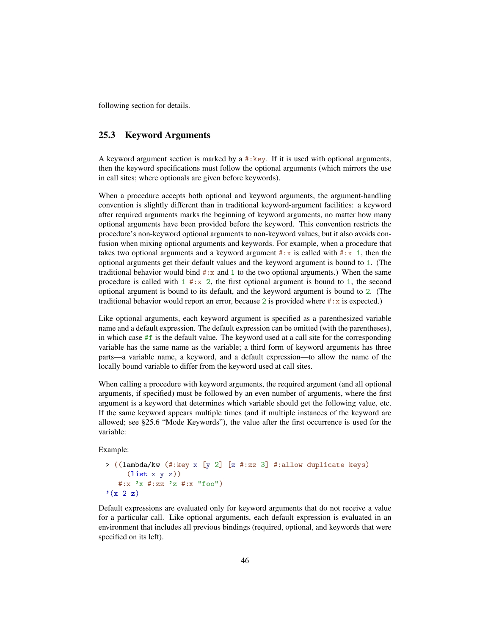following section for details.

#### 25.3 Keyword Arguments

A keyword argument section is marked by a  $\#:\text{key}$ . If it is used with optional arguments, then the keyword specifications must follow the optional arguments (which mirrors the use in call sites; where optionals are given before keywords).

When a procedure accepts both optional and keyword arguments, the argument-handling convention is slightly different than in traditional keyword-argument facilities: a keyword after required arguments marks the beginning of keyword arguments, no matter how many optional arguments have been provided before the keyword. This convention restricts the procedure's non-keyword optional arguments to non-keyword values, but it also avoids confusion when mixing optional arguments and keywords. For example, when a procedure that takes two optional arguments and a keyword argument  $\# : x$  is called with  $\# : x \neq 1$ , then the optional arguments get their default values and the keyword argument is bound to 1. (The traditional behavior would bind  $\#:x$  and 1 to the two optional arguments.) When the same procedure is called with  $1 \# : x \neq 2$ , the first optional argument is bound to 1, the second optional argument is bound to its default, and the keyword argument is bound to 2. (The traditional behavior would report an error, because 2 is provided where  $\#$ : x is expected.)

Like optional arguments, each keyword argument is specified as a parenthesized variable name and a default expression. The default expression can be omitted (with the parentheses), in which case  $#f$  is the default value. The keyword used at a call site for the corresponding variable has the same name as the variable; a third form of keyword arguments has three parts—a variable name, a keyword, and a default expression—to allow the name of the locally bound variable to differ from the keyword used at call sites.

When calling a procedure with keyword arguments, the required argument (and all optional arguments, if specified) must be followed by an even number of arguments, where the first argument is a keyword that determines which variable should get the following value, etc. If the same keyword appears multiple times (and if multiple instances of the keyword are allowed; see §25.6 "Mode Keywords"), the value after the first occurrence is used for the variable:

Example:

```
> ((lambda/kw (#:key x [y 2] [z #:zz 3] #:allow-duplicate-keys)
     (list x y z))
   #:x 'x #:zz 'z #:x "foo")
'(x 2 z)
```
Default expressions are evaluated only for keyword arguments that do not receive a value for a particular call. Like optional arguments, each default expression is evaluated in an environment that includes all previous bindings (required, optional, and keywords that were specified on its left).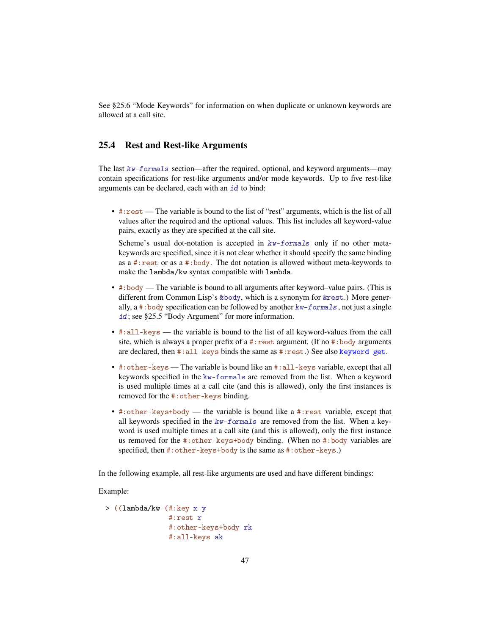See §25.6 "Mode Keywords" for information on when duplicate or unknown keywords are allowed at a call site.

### 25.4 Rest and Rest-like Arguments

The last  $kw\text{-}formals$  section—after the required, optional, and keyword arguments—may contain specifications for rest-like arguments and/or mode keywords. Up to five rest-like arguments can be declared, each with an id to bind:

• #:rest — The variable is bound to the list of "rest" arguments, which is the list of all values after the required and the optional values. This list includes all keyword-value pairs, exactly as they are specified at the call site.

Scheme's usual dot-notation is accepted in  $kw$ -formals only if no other metakeywords are specified, since it is not clear whether it should specify the same binding as a #:rest or as a #:body. The dot notation is allowed without meta-keywords to make the lambda/kw syntax compatible with lambda.

- #:body The variable is bound to all arguments after keyword–value pairs. (This is different from Common Lisp's &body, which is a synonym for &rest.) More generally, a #:body specification can be followed by another kw-formals, not just a single id; see §25.5 "Body Argument" for more information.
- #:all-keys the variable is bound to the list of all keyword-values from the call site, which is always a proper prefix of a #: rest argument. (If no #: body arguments are declared, then #:all-keys binds the same as #:rest.) See also keyword-get.
- #:other-keys The variable is bound like an #:all-keys variable, except that all keywords specified in the kw-formals are removed from the list. When a keyword is used multiple times at a call cite (and this is allowed), only the first instances is removed for the #:other-keys binding.
- #:other-keys+body the variable is bound like a #:rest variable, except that all keywords specified in the kw-formals are removed from the list. When a keyword is used multiple times at a call site (and this is allowed), only the first instance us removed for the #:other-keys+body binding. (When no #:body variables are specified, then #:other-keys+body is the same as #:other-keys.)

In the following example, all rest-like arguments are used and have different bindings:

Example:

```
> ((lambda/kw (#:key x y
               #:rest r
               #:other-keys+body rk
               #:all-keys ak
```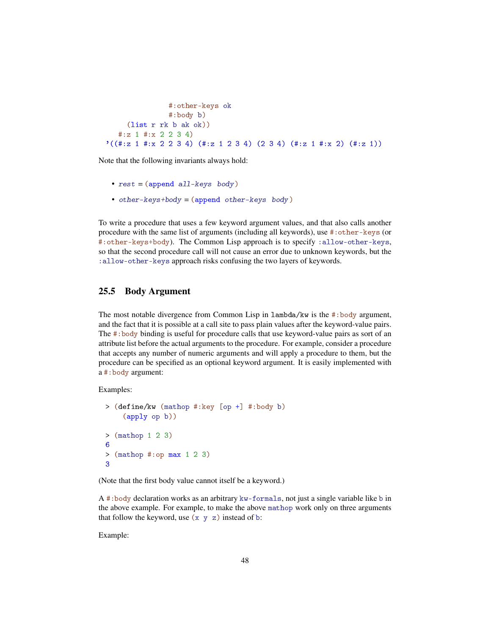```
#:other-keys ok
                                 #:body b)
           (list r rk b ak ok))
      #:z 1 #:x 2 2 3 4)
'((\text{#}:z \space 1 \text{ } \text{#}:x \space 2 \space 2 \space 3 \space 4) (\text{#}:z \space 1 \space 2 \space 3 \space 4) (\text{2} \space 3 \space 4) (\text{#}:z \space 1 \space \text{#}:x \space 2) (\text{#}:z \space 1))
```
Note that the following invariants always hold:

- $rest = (append all-keys body)$
- other-keys+body = (append other-keys body)

To write a procedure that uses a few keyword argument values, and that also calls another procedure with the same list of arguments (including all keywords), use #:other-keys (or #:other-keys+body). The Common Lisp approach is to specify :allow-other-keys, so that the second procedure call will not cause an error due to unknown keywords, but the :allow-other-keys approach risks confusing the two layers of keywords.

### 25.5 Body Argument

The most notable divergence from Common Lisp in  $lambda/kw$  is the #:body argument, and the fact that it is possible at a call site to pass plain values after the keyword-value pairs. The #:body binding is useful for procedure calls that use keyword-value pairs as sort of an attribute list before the actual arguments to the procedure. For example, consider a procedure that accepts any number of numeric arguments and will apply a procedure to them, but the procedure can be specified as an optional keyword argument. It is easily implemented with a #:body argument:

Examples:

```
> (define/kw (mathop #:key [op +] #:body b)
    (apply op b))
> (mathop 1 2 3)
6
> (mathop #:op max 1 2 3)
3
```
(Note that the first body value cannot itself be a keyword.)

A #:body declaration works as an arbitrary kw-formals, not just a single variable like b in the above example. For example, to make the above mathop work only on three arguments that follow the keyword, use  $(x \ y \ z)$  instead of b:

Example: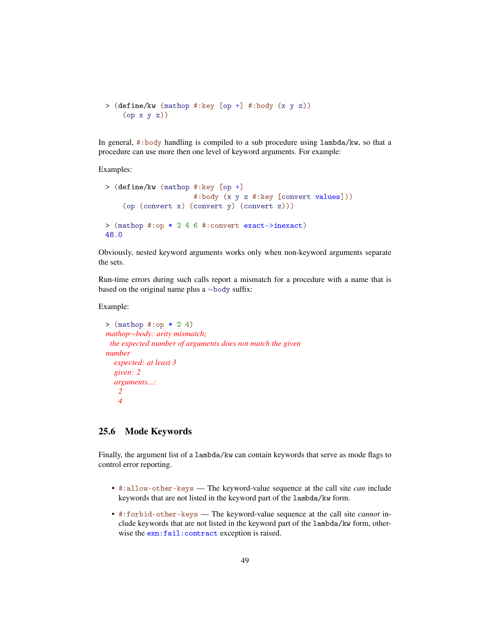```
> (define/kw (mathop #:key [op +] #:body (x y z))
    (op x y z))
```
In general, #:body handling is compiled to a sub procedure using lambda/kw, so that a procedure can use more then one level of keyword arguments. For example:

Examples:

```
> (define/kw (mathop #:key [op +]
                     #:body (x y z #:key [convert values]))
    (op (convert x) (convert y) (convert z)))
> (mathop #:op * 2 4 6 #:convert exact->inexact)
48.0
```
Obviously, nested keyword arguments works only when non-keyword arguments separate the sets.

Run-time errors during such calls report a mismatch for a procedure with a name that is based on the original name plus a ∼body suffix:

#### Example:

```
> (mathop #:op * 2 4)
mathop∼body: arity mismatch;
 the expected number of arguments does not match the given
number
  expected: at least 3
  given: 2
  arguments...:
   2
   4
```
### 25.6 Mode Keywords

Finally, the argument list of a lambda/kw can contain keywords that serve as mode flags to control error reporting.

- #:allow-other-keys The keyword-value sequence at the call site *can* include keywords that are not listed in the keyword part of the lambda/kw form.
- #:forbid-other-keys The keyword-value sequence at the call site *cannot* include keywords that are not listed in the keyword part of the lambda/kw form, otherwise the exn:fail:contract exception is raised.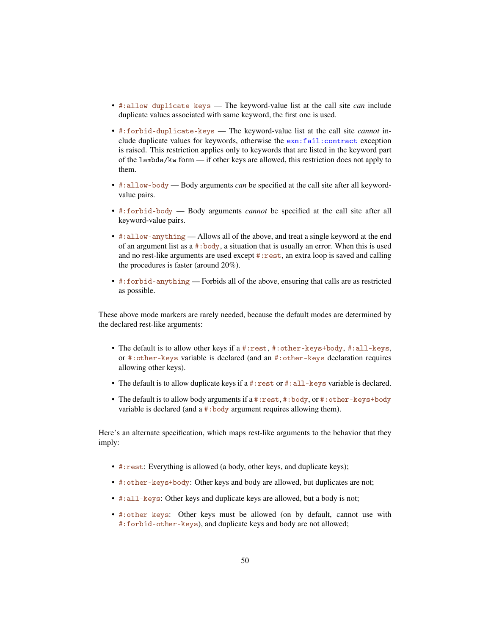- #:allow-duplicate-keys The keyword-value list at the call site *can* include duplicate values associated with same keyword, the first one is used.
- #:forbid-duplicate-keys The keyword-value list at the call site *cannot* include duplicate values for keywords, otherwise the exn:fail:contract exception is raised. This restriction applies only to keywords that are listed in the keyword part of the lambda/kw form — if other keys are allowed, this restriction does not apply to them.
- #:allow-body Body arguments *can* be specified at the call site after all keywordvalue pairs.
- #:forbid-body Body arguments *cannot* be specified at the call site after all keyword-value pairs.
- #:allow-anything Allows all of the above, and treat a single keyword at the end of an argument list as a #:body, a situation that is usually an error. When this is used and no rest-like arguments are used except #:rest, an extra loop is saved and calling the procedures is faster (around 20%).
- #:forbid-anything Forbids all of the above, ensuring that calls are as restricted as possible.

These above mode markers are rarely needed, because the default modes are determined by the declared rest-like arguments:

- The default is to allow other keys if a #:rest, #:other-keys+body, #:all-keys, or #:other-keys variable is declared (and an #:other-keys declaration requires allowing other keys).
- The default is to allow duplicate keys if a #:rest or #:all-keys variable is declared.
- The default is to allow body arguments if a #: rest, #: body, or #: other-keys+body variable is declared (and a #:body argument requires allowing them).

Here's an alternate specification, which maps rest-like arguments to the behavior that they imply:

- #:rest: Everything is allowed (a body, other keys, and duplicate keys);
- #:other-keys+body: Other keys and body are allowed, but duplicates are not;
- #:all-keys: Other keys and duplicate keys are allowed, but a body is not;
- #:other-keys: Other keys must be allowed (on by default, cannot use with #:forbid-other-keys), and duplicate keys and body are not allowed;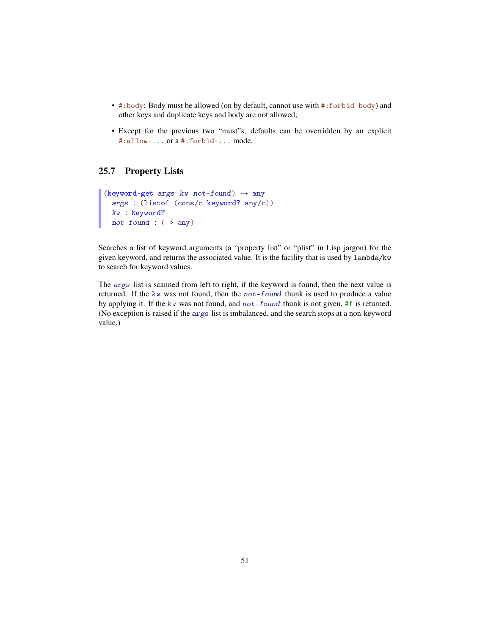- #:body: Body must be allowed (on by default, cannot use with #:forbid-body) and other keys and duplicate keys and body are not allowed;
- Except for the previous two "must"s, defaults can be overridden by an explicit #:allow-... or a #:forbid-... mode.

### 25.7 Property Lists

```
(keyword-get args kw not-found) \rightarrow any
  args : (listof (cons/c keyword? any/c))
  kw : keyword?
  not-found : (\rightarrow any)
```
Searches a list of keyword arguments (a "property list" or "plist" in Lisp jargon) for the given keyword, and returns the associated value. It is the facility that is used by lambda/kw to search for keyword values.

The args list is scanned from left to right, if the keyword is found, then the next value is returned. If the  $kw$  was not found, then the not-found thunk is used to produce a value by applying it. If the kw was not found, and not-found thunk is not given, #f is returned. (No exception is raised if the args list is imbalanced, and the search stops at a non-keyword value.)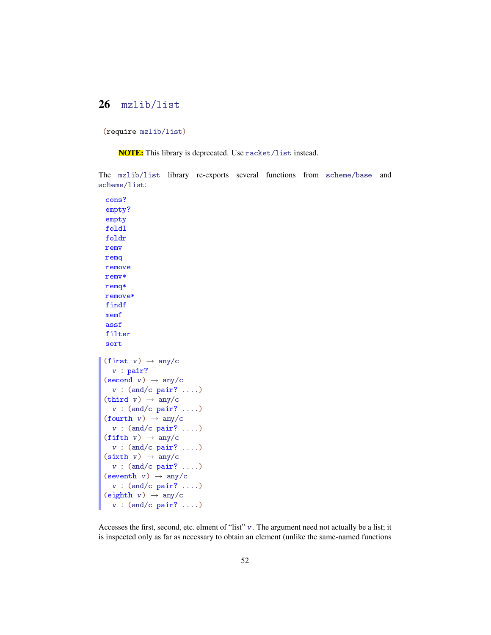### 26 mzlib/list

(require mzlib/list)

NOTE: This library is deprecated. Use racket/list instead.

The mzlib/list library re-exports several functions from scheme/base and scheme/list:

```
cons?
empty?
empty
foldl
foldr
remv
remq
remove
remv*
remq*
remove*
findf
memf
assf
filter
sort
(first v) \rightarrow any/cv : pair?
(\text{second } v) \rightarrow \text{any}/cv : (and/c pair? ....)
(third v) \rightarrow any/cv : (and/c pair? ....)
(fourth v) \rightarrow any/cv : (and/c pair? ....)
(fifth v) \rightarrow any/cv : (and/c pair? ....)
(sixth v) \rightarrow any/cv : (and/c pair? ....)
(seventh v) \rightarrow any/cv : (and/c pair? ....)
(eighth v) \rightarrow any/cv : (and/c pair? ....)
```
Accesses the first, second, etc. elment of "list" v. The argument need not actually be a list; it is inspected only as far as necessary to obtain an element (unlike the same-named functions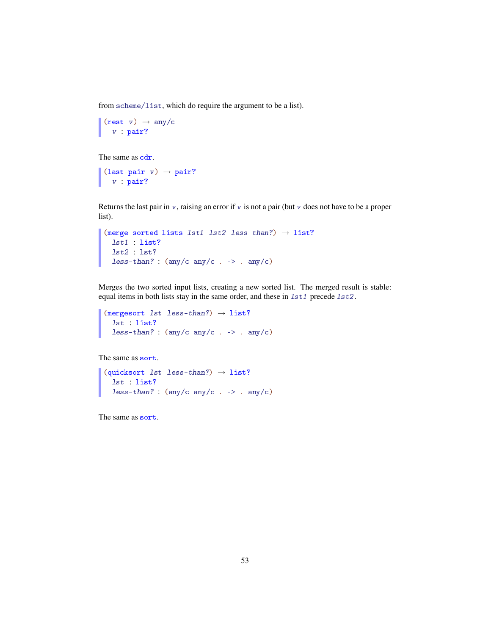from scheme/list, which do require the argument to be a list).

```
(rest v) \rightarrow any/c
  v : pair?
```
The same as  $cdr.$ 

```
(last-pair v) \rightarrow pair?v : pair?
```
Returns the last pair in  $v$ , raising an error if  $v$  is not a pair (but  $v$  does not have to be a proper list).

```
(merge-sorted-lists 1st1 1st2 1ess-than?) \rightarrow list?lst1 : list?
  lst2 : lst?
  less-than? : (\text{any}/c \text{ any}/c \cdot \rightarrow \text{ any}/c)
```
Merges the two sorted input lists, creating a new sorted list. The merged result is stable: equal items in both lists stay in the same order, and these in  $1st1$  precede  $1st2$ .

```
(mergesort 1st 1ess-than?) \rightarrow list?lst : list?
  less-than? : (\text{any}/c \text{ any}/c \cdot \rightarrow \text{ any}/c)
```
The same as sort.

```
(quicksort 1st 1ess-than?) \rightarrow 1ist?lst : list?
  less-than? : (\text{any}/c \text{ any}/c \text{ . -> . any}/c)
```
The same as sort.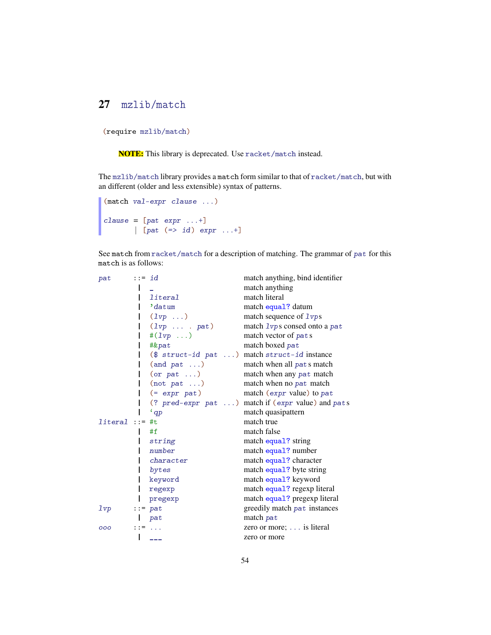# 27 mzlib/match

```
(require mzlib/match)
```
NOTE: This library is deprecated. Use racket/match instead.

The mzlib/match library provides a match form similar to that of racket/match, but with an different (older and less extensible) syntax of patterns.

```
(match val-expr clause ...)
clause = [pat \text{ expr } ...+][ [pat (=> id) expr ...+]
```
See match from racket/match for a description of matching. The grammar of pat for this match is as follows:

| pat             | $::= id$ |                            | match anything, bind identifier                   |
|-----------------|----------|----------------------------|---------------------------------------------------|
|                 |          |                            | match anything                                    |
|                 |          | literal                    | match literal                                     |
|                 |          | datum                      | match equal? datum                                |
|                 |          | $(1vp \dots)$              | match sequence of 1 vp s                          |
|                 |          | $(1vp \ldots \ldots pa t)$ | match 1vps consed onto a pat                      |
|                 |          | # $(1vp \dots)$            | match vector of pats                              |
|                 |          | #&pat                      | match boxed pat                                   |
|                 |          | $($struct-id pat)$         | match struct-id instance                          |
|                 |          | (and pat)                  | match when all pats match                         |
|                 |          | (or pat)                   | match when any pat match                          |
|                 |          | (not pat)                  | match when no pat match                           |
|                 |          | $(= expr pat)$             | match ( $expr$ value) to $pat$                    |
|                 |          |                            | (? pred-expr pat ) match if (expr value) and pats |
|                 |          | $'$ qp                     | match quasipattern                                |
| $literal ::=$   |          | #t                         | match true                                        |
|                 |          | #f                         | match false                                       |
|                 |          | string                     | match equal? string                               |
|                 |          | number                     | match equal? number                               |
|                 |          | character                  | match equal? character                            |
|                 |          | bytes                      | match equal? byte string                          |
|                 |          | keyword                    | match equal? keyword                              |
|                 |          | regexp                     | match equal? regexp literal                       |
|                 |          | pregexp                    | match equal? pregexp literal                      |
| 1 <sub>vp</sub> |          | $\cdots$ pat               | greedily match pat instances                      |
|                 |          | pat                        | match pat                                         |
| 000             |          | $117 - 111$                | zero or more; $\ldots$ is literal                 |
|                 |          | ---                        | zero or more                                      |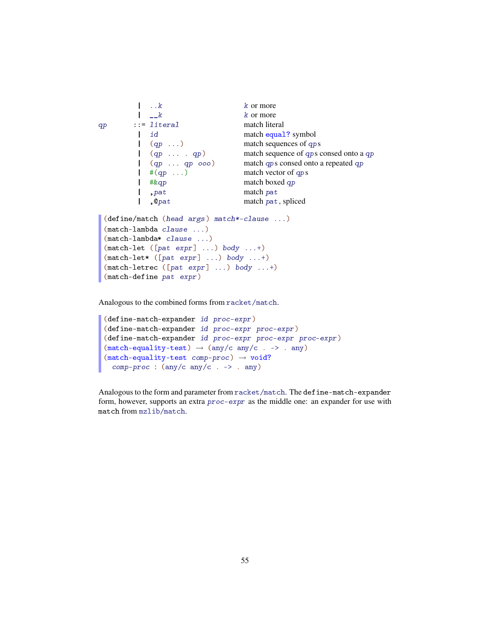```
\vert \cdot \vert \cdot \vert k k or more
         \vert \quad \vert_{-k} k or more
qp ::= literal match literal
         | id match equal? symbol<br>| (qp ...) match sequences of qp
                                   match sequences of qps| (qp ... . qp) match sequence of qps consed onto a qp
         | (qp ... qp ooo) match qps consed onto a repeated qp
         |(4qp \dots) match vector of qps<br>
| # \& qp match boxed qp
                                   match boxed qp
         | ,pat match pat
         | , @pat match pat, spliced
 (define/match (head args) match*-clause ...)
 (match-lambda clause ...)
 (match-lambda* clause ...)
 (match-let ([pat expr] ...) body ...+)(\texttt{match-let*} ([pat expr] ...) body ...+)
 (match-letterc ([pat expr] ...) body ...+)(match-define pat expr)
```
Analogous to the combined forms from racket/match.

```
(define-match-expander id proc-expr)
(define-match-expander id proc-expr proc-expr)
(define-match-expander id proc-expr proc-expr proc-expr)
(match-equality-test) \rightarrow (any/c any/c . -> . any)(match-equality-test comp-proc) \rightarrow void?comp-proc : (\text{any}/c \text{ any}/c \cdot \rightarrow \text{ any})
```
Analogous to the form and parameter from racket/match. The define-match-expander form, however, supports an extra proc-expr as the middle one: an expander for use with match from mzlib/match.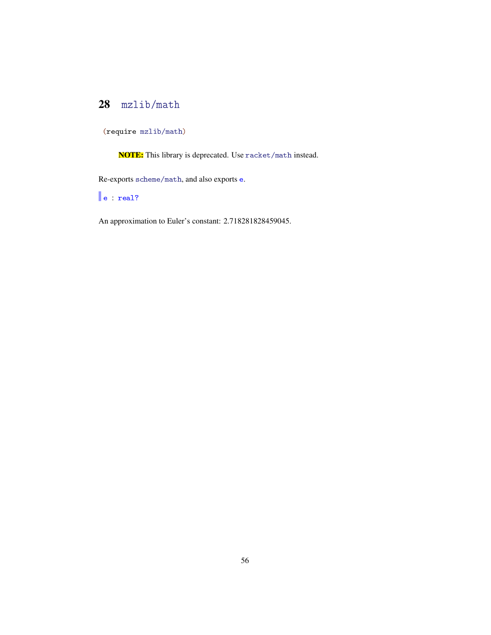# 28 mzlib/math

(require mzlib/math)

NOTE: This library is deprecated. Use racket/math instead.

Re-exports scheme/math, and also exports e.

e : real?

An approximation to Euler's constant: 2.718281828459045.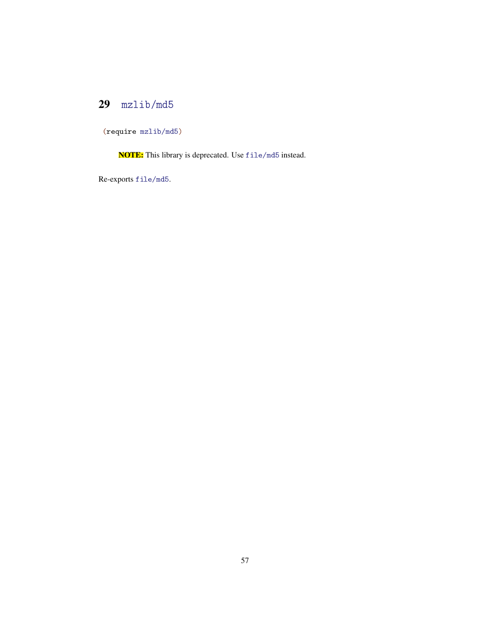# 29 mzlib/md5

(require mzlib/md5)

NOTE: This library is deprecated. Use file/md5 instead.

Re-exports file/md5.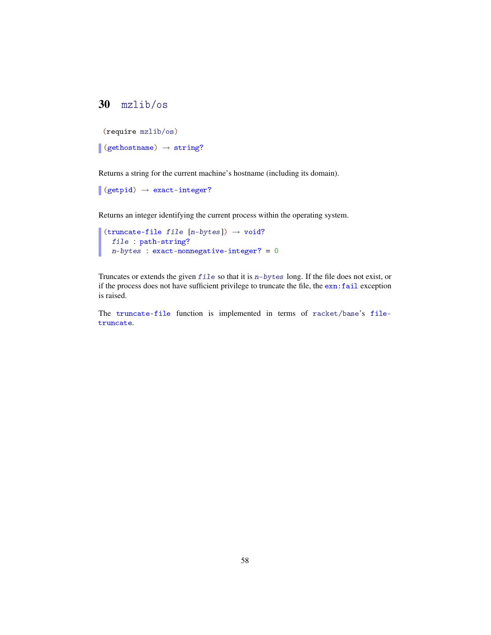# 30 mzlib/os

```
(require mzlib/os)
```

```
\vert (gethostname) \rightarrow string?
```
Returns a string for the current machine's hostname (including its domain).

```
\vert (getpid) \rightarrow exact-integer?
```
Returns an integer identifying the current process within the operating system.

```
(truncate-file file [n-bytes]) \rightarrow void?
   file : path-string?
   n-bytes : exact-nonnegative-integer? = 0
```
Truncates or extends the given file so that it is n-bytes long. If the file does not exist, or if the process does not have sufficient privilege to truncate the file, the exn:fail exception is raised.

The truncate-file function is implemented in terms of racket/base's filetruncate.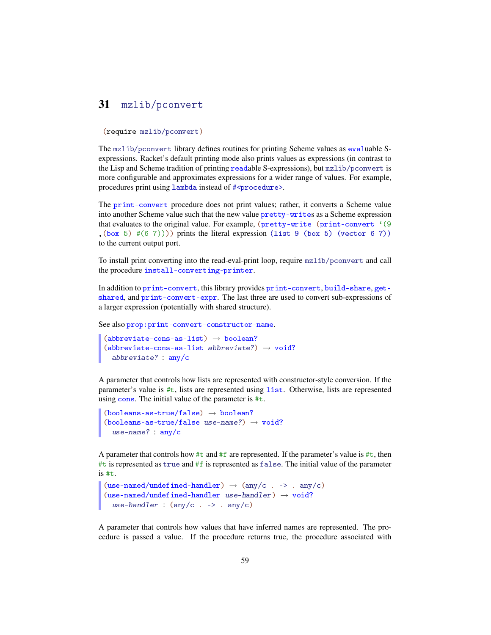### 31 mzlib/pconvert

#### (require mzlib/pconvert)

The mzlib/pconvert library defines routines for printing Scheme values as evaluable Sexpressions. Racket's default printing mode also prints values as expressions (in contrast to the Lisp and Scheme tradition of printing readable S-expressions), but mzlib/pconvert is more configurable and approximates expressions for a wider range of values. For example, procedures print using lambda instead of #<procedure>.

The print-convert procedure does not print values; rather, it converts a Scheme value into another Scheme value such that the new value pretty-writes as a Scheme expression that evaluates to the original value. For example, (pretty-write (print-convert '(9) ,(box 5) #(6 7)))) prints the literal expression (list 9 (box 5) (vector 6 7)) to the current output port.

To install print converting into the read-eval-print loop, require mzlib/pconvert and call the procedure install-converting-printer.

In addition to print-convert, this library provides print-convert, build-share, getshared, and print-convert-expr. The last three are used to convert sub-expressions of a larger expression (potentially with shared structure).

See also prop:print-convert-constructor-name.

```
(abbreviate-cons-as-list) \rightarrow boolean?(abbreviate-cons-as-list abbreviate?) \rightarrow void?
  abbreviate? : any/c
```
A parameter that controls how lists are represented with constructor-style conversion. If the parameter's value is #t, lists are represented using list. Otherwise, lists are represented using cons. The initial value of the parameter is #t.

```
(booleans-as-true/false) \rightarrow boolean?(booleans-as-true/false use-name?) \rightarrow void?
  use-name? : any/c
```
A parameter that controls how #t and #f are represented. If the parameter's value is #t, then  $\#t$  is represented as true and  $\#f$  is represented as false. The initial value of the parameter is #t.

```
(use-named/undefined-handler) \rightarrow (any/c . -> . any/c)(use-named/undefined-handler use-handler) \rightarrow void?use-handler : (\text{any/c} \rightarrow -\text{any/c})
```
A parameter that controls how values that have inferred names are represented. The procedure is passed a value. If the procedure returns true, the procedure associated with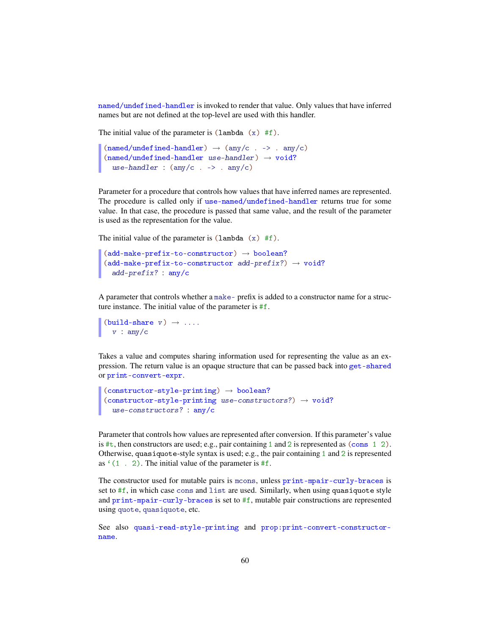named/undefined-handler is invoked to render that value. Only values that have inferred names but are not defined at the top-level are used with this handler.

The initial value of the parameter is  $(\text{lambda } (x) \# f)$ .

```
(named/undefined-handler) \rightarrow (any/c . -> . any/c)(named/underined-handler use-handler) \rightarrow void?use-handler : (\text{any/c} \rightarrow -\text{any/c})
```
Parameter for a procedure that controls how values that have inferred names are represented. The procedure is called only if use-named/undefined-handler returns true for some value. In that case, the procedure is passed that same value, and the result of the parameter is used as the representation for the value.

The initial value of the parameter is  $(\text{lambda } (x) \# f)$ .

```
(\text{add-make-prefix-to-constructor}) \rightarrow \text{boolean?}(\text{add-make-prefix-to-constructor add-prefix?)} \rightarrow \text{void?}add-prefix? : any/c
```
A parameter that controls whether a make- prefix is added to a constructor name for a structure instance. The initial value of the parameter is #f.

```
(build\text{-}share \t v) \rightarrow ...v : any/c
```
Takes a value and computes sharing information used for representing the value as an expression. The return value is an opaque structure that can be passed back into get-shared or print-convert-expr.

```
(constructor-style-printing) \rightarrow boolean?(constructor-style-printing use-constructors?) \rightarrow void?use-constructors? : any/c
```
Parameter that controls how values are represented after conversion. If this parameter's value is  $\#t$ , then constructors are used; e.g., pair containing 1 and 2 is represented as (cons 1 2). Otherwise, quasiquote-style syntax is used; e.g., the pair containing 1 and 2 is represented as  $(1 \cdot 2)$ . The initial value of the parameter is #f.

The constructor used for mutable pairs is mcons, unless print-mpair-curly-braces is set to  $#f$ , in which case cons and list are used. Similarly, when using quasiquote style and print-mpair-curly-braces is set to #f, mutable pair constructions are represented using quote, quasiquote, etc.

See also quasi-read-style-printing and prop:print-convert-constructorname.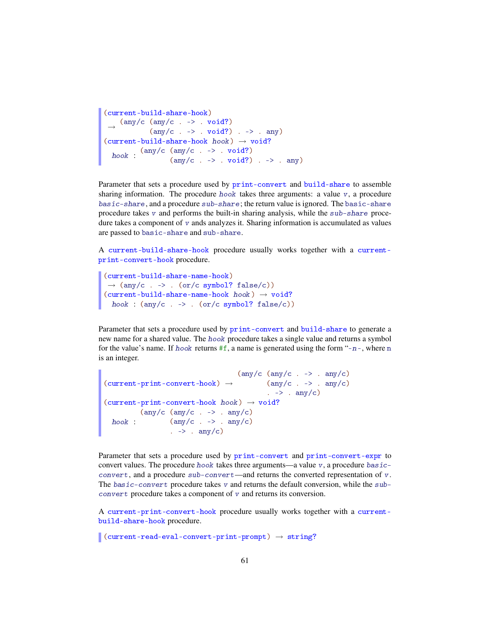```
(current-build-share-hook)
 \rightarrow (any/c (any/c . -> . void?)
                (\text{any}/c \cdot -\rangle . \text{void}?) . \rightarrow . \text{any})
(current-build-share-hook \text{ } hook) \rightarrow void?hook (any/c (any/c . -> . void?)
                        (\text{any}/c \cdot -\rangle . \text{void}?) . \rightarrow . \text{any}
```
Parameter that sets a procedure used by print-convert and build-share to assemble sharing information. The procedure  $hook$  takes three arguments: a value  $v$ , a procedure basic-share, and a procedure sub-share; the return value is ignored. The basic-share procedure takes  $v$  and performs the built-in sharing analysis, while the  $sub\text{-}share$  procedure takes a component of  $v$  ands analyzes it. Sharing information is accumulated as values are passed to basic-share and sub-share.

A current-build-share-hook procedure usually works together with a currentprint-convert-hook procedure.

```
(current-build-share-name-hook)
\rightarrow (any/c . -> . (or/c symbol? false/c))
(current-build-share-name-hook \; \textit{hook}) \rightarrow \textit{void?}hook : (\text{any}/c \cdot \rightarrow \cdot \text{(or}/c \text{ symbol? false}/c))
```
Parameter that sets a procedure used by print-convert and build-share to generate a new name for a shared value. The hook procedure takes a single value and returns a symbol for the value's name. If hook returns  $#f$ , a name is generated using the form "-n-, where n is an integer.

```
(current-print-convert-hook) \rightarrow (any/c . -> . any/c)(\text{any}/c \text{ (any}/c \text{ . --} > \text{ . any}/c)). \rightarrow . any/c)
(current-print-convert-hook \; \textit{hook}) \; \rightarrow \; \textit{void?}hook : (\text{any}/c \cdot \rightarrow \cdot \text{any}/c)(\text{any}/c \text{ (any}/c \text{ . -> . any}/c))\cdot -> \cdot any/c)
```
Parameter that sets a procedure used by print-convert and print-convert-expr to convert values. The procedure hook takes three arguments—a value  $v$ , a procedure basicconvert, and a procedure sub-convert—and returns the converted representation of v. The  $basic-convert$  procedure takes v and returns the default conversion, while the  $sub$ convert procedure takes a component of v and returns its conversion.

A current-print-convert-hook procedure usually works together with a currentbuild-share-hook procedure.

 $\vert$  (current-read-eval-convert-print-prompt)  $\rightarrow$  string?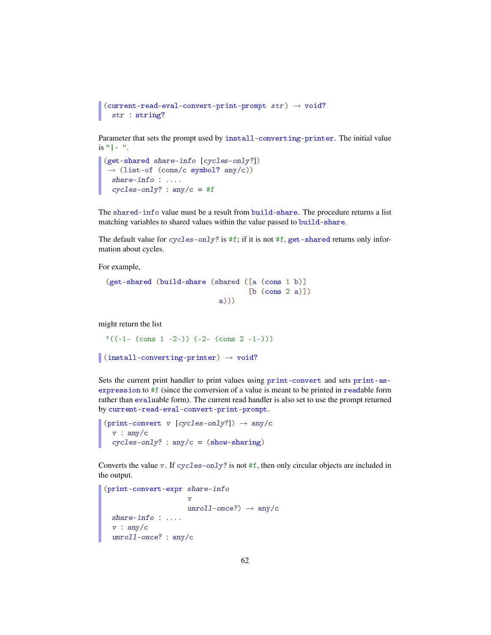```
(current-read-eval-convert-print-prompt str) \rightarrow void?str : string?
```
Parameter that sets the prompt used by install-converting-printer. The initial value  $is "|- "$ .

```
(get-shared share-info [cycles-only?])
\rightarrow (list-of (cons/c symbol? any/c))
 share-info : ....
 cycles-only? : any/c = #f
```
The shared-info value must be a result from build-share. The procedure returns a list matching variables to shared values within the value passed to build-share.

The default value for cycles-only? is #f; if it is not #f, get-shared returns only information about cycles.

For example,

```
(get-shared (build-share (shared ([a (cons 1 b)]
                                 [b (cons 2 a)])a)))
```
might return the list

 $\prime ((-1- (\text{cons } 1 -2-)) (-2- (\text{cons } 2 -1-)))$ 

```
\vert (install-converting-printer) \rightarrow void?
```
Sets the current print handler to print values using print-convert and sets print-asexpression to #f (since the conversion of a value is meant to be printed in readable form rather than evaluable form). The current read handler is also set to use the prompt returned by current-read-eval-convert-print-prompt.

```
(print-convert v [cycles-only?] \rightarrow any/c
  v : any/ccycles-only? : any/c = (show-sharing)
```
Converts the value v. If  $cycles-only$ ? is not #f, then only circular objects are included in the output.

```
(print-convert-expr share-info
                       \overline{v}unroll-once?) \rightarrow any/cshare-info : ....
  v : any/cunroll-once? : any/c
```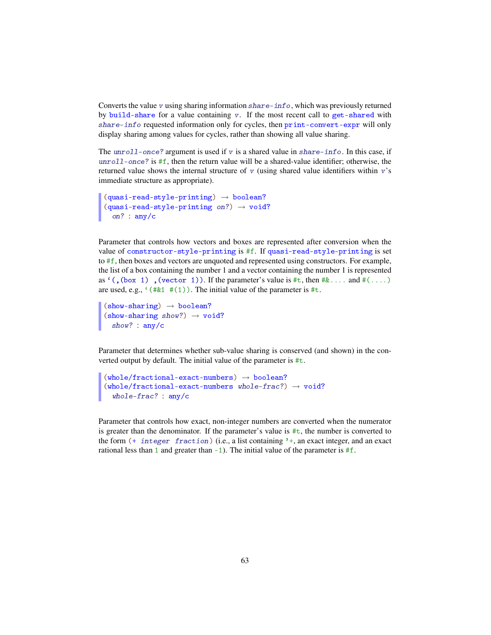Converts the value v using sharing information  $share\text{-}info$ , which was previously returned by build-share for a value containing v. If the most recent call to get-shared with share-info requested information only for cycles, then print-convert-expr will only display sharing among values for cycles, rather than showing all value sharing.

The  $unroll-once$ ? argument is used if v is a shared value in share-info. In this case, if  $unroll-once$ ? is  $#f$ , then the return value will be a shared-value identifier; otherwise, the returned value shows the internal structure of  $v$  (using shared value identifiers within  $v$ 's immediate structure as appropriate).

```
(quasi-read-style-printing) \rightarrow boolean?(quasi-read-style-printing on?) \rightarrow void?on? : any/c
```
Parameter that controls how vectors and boxes are represented after conversion when the value of constructor-style-printing is #f. If quasi-read-style-printing is set to #f, then boxes and vectors are unquoted and represented using constructors. For example, the list of a box containing the number 1 and a vector containing the number 1 is represented as  $'($ , (box 1), (vector 1). If the parameter's value is  $\#\text{t}$ , then  $\#\&\ldots$  and  $\#\llots$ ) are used, e.g.,  $(4k1 \#(1))$ . The initial value of the parameter is #t.

```
(show-sharing) \rightarrow boolean?(show-sharing show?) \rightarrow void?show? : any/c
```
Parameter that determines whether sub-value sharing is conserved (and shown) in the converted output by default. The initial value of the parameter is  $\#t$ .

```
(\verb|whole/fractional-exact-numbers)\ \rightarrow\ \verb|boolean?|(whole/fractional-exact-numbers whole-frac?) \rightarrow void?whole-frac? : any/c
```
Parameter that controls how exact, non-integer numbers are converted when the numerator is greater than the denominator. If the parameter's value is  $\#t$ , the number is converted to the form  $($ + integer fraction) (i.e., a list containing  $'$ +, an exact integer, and an exact rational less than 1 and greater than  $-1$ ). The initial value of the parameter is  $\#f$ .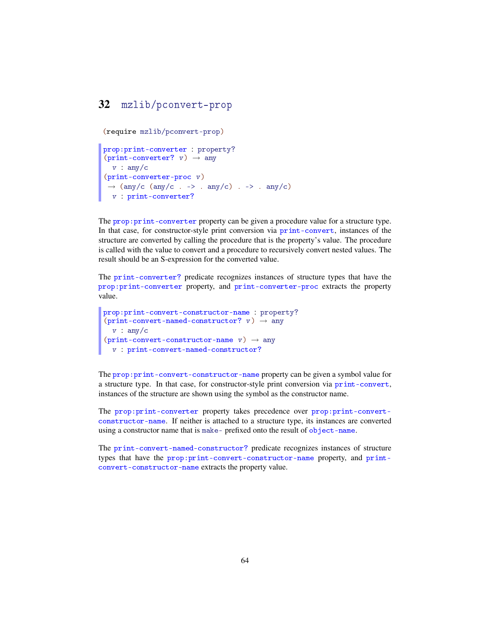## 32 mzlib/pconvert-prop

(require mzlib/pconvert-prop)

```
prop:print-converter : property?
(print-converter? v) \rightarrow anyv : any/c(print-converter-proc v)
 \rightarrow (any/c (any/c . -> . any/c) . -> . any/c)
 v : print-converter?
```
The prop:print-converter property can be given a procedure value for a structure type. In that case, for constructor-style print conversion via print-convert, instances of the structure are converted by calling the procedure that is the property's value. The procedure is called with the value to convert and a procedure to recursively convert nested values. The result should be an S-expression for the converted value.

The print-converter? predicate recognizes instances of structure types that have the prop:print-converter property, and print-converter-proc extracts the property value.

```
prop:print-convert-constructor-name : property?
(print-convert-named-constructor? v) \rightarrow anyv : any/c(print-convert-constructor-name \ v) \rightarrow anyv : print-convert-named-constructor?
```
The prop:print-convert-constructor-name property can be given a symbol value for a structure type. In that case, for constructor-style print conversion via print-convert, instances of the structure are shown using the symbol as the constructor name.

The prop:print-converter property takes precedence over prop:print-convertconstructor-name. If neither is attached to a structure type, its instances are converted using a constructor name that is make- prefixed onto the result of object-name.

The print-convert-named-constructor? predicate recognizes instances of structure types that have the prop:print-convert-constructor-name property, and printconvert-constructor-name extracts the property value.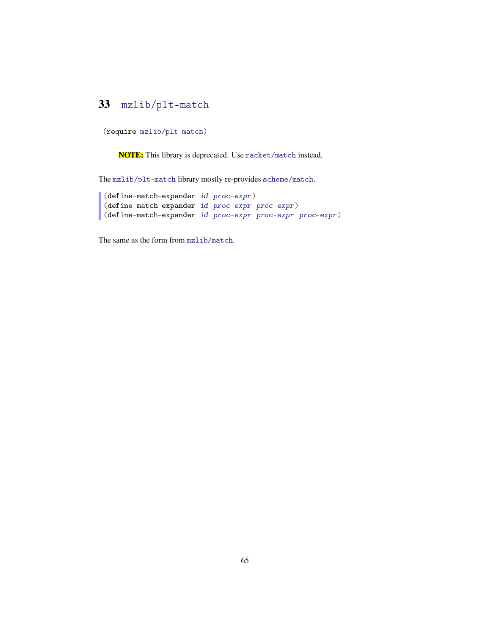# 33 mzlib/plt-match

(require mzlib/plt-match)

NOTE: This library is deprecated. Use racket/match instead.

The mzlib/plt-match library mostly re-provides scheme/match.

```
(define-match-expander id proc-expr)
(define-match-expander id proc-expr proc-expr)
(define-match-expander id proc-expr proc-expr proc-expr)
```
The same as the form from mzlib/match.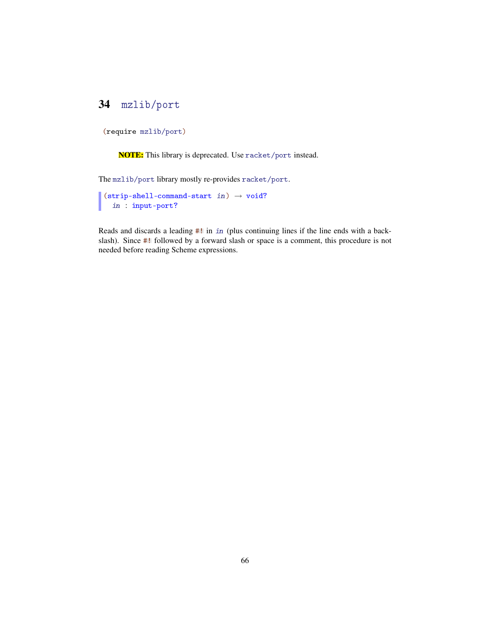# 34 mzlib/port

```
(require mzlib/port)
```
NOTE: This library is deprecated. Use racket/port instead.

The mzlib/port library mostly re-provides racket/port.

```
\vert (strip-shell-command-start in) \rightarrow void?
   in : input-port?
```
Reads and discards a leading #! in in (plus continuing lines if the line ends with a backslash). Since #! followed by a forward slash or space is a comment, this procedure is not needed before reading Scheme expressions.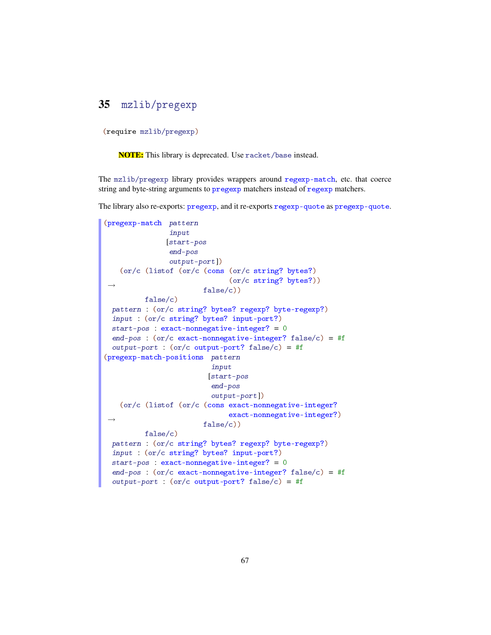# 35 mzlib/pregexp

(require mzlib/pregexp)

NOTE: This library is deprecated. Use racket/base instead.

The mzlib/pregexp library provides wrappers around regexp-match, etc. that coerce string and byte-string arguments to pregexp matchers instead of regexp matchers.

The library also re-exports: pregexp, and it re-exports regexp-quote as pregexp-quote.

```
(pregexp-match pattern
               input
               [start-pos
               end-pos
               output-port])
 \rightarrow(or/c (listof (or/c (cons (or/c string? bytes?)
                              (or/c string? bytes?))
                        false/c))
          false/c)
 pattern : (or/c string? bytes? regexp? byte-regexp?)
 input : (or/c string? bytes? input-port?)
 start-pos : exact-nonnegative-integer? = 0end-pos : (or/c exact-nonnegative-integer? false/c) = #f
 output-port : (or/c output-port? false/c) = #f
(pregexp-match-positions pattern
                          input
                         [start-pos
                          end-pos
                          output-port])
 \rightarrow(or/c (listof (or/c (cons exact-nonnegative-integer?
                              exact-nonnegative-integer?)
                        false/c))
          false/c)
 pattern : (or/c string? bytes? regexp? byte-regexp?)
 input : (or/c string? bytes? input-port?)
 start-pos : exact-nonnegative-integer? = 0
 end-pos : (or/c exact-nonnegative-integer? false/c) = #f
 output-port : (or/c output-port? false/c) = #f
```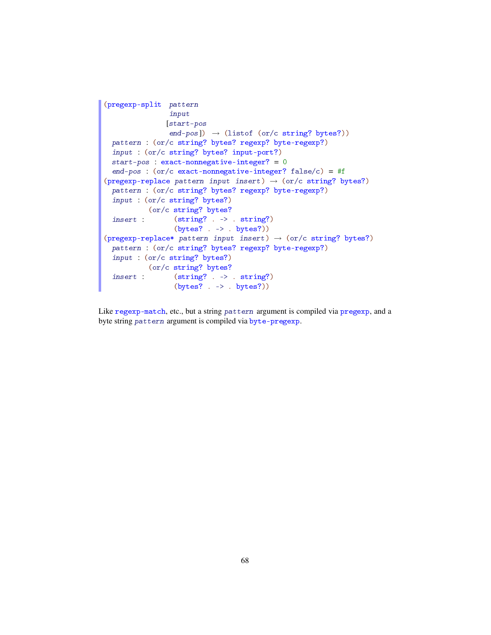```
(pregexp-split pattern
               input
              [start-pos
               end-pos]) \rightarrow (listof (or/c string? bytes?))
 pattern : (or/c string? bytes? regexp? byte-regexp?)
 input : (or/c string? bytes? input-port?)
 start-pos : exact-nonnegative-integer? = 0end-pos : (or/c exact-nonnegative-integer? false/c) = #f
(pregexp-replace pattern input insert) \rightarrow (or/c string? bytes?)
 pattern : (or/c string? bytes? regexp? byte-regexp?)
 input : (or/c string? bytes?)
 insert :
          (or/c string? bytes?
                (string? . -> . string?)
                (bytes? -> -> bytes?)(pregexp-replace* pattern input insert) \rightarrow (or/c string? bytes?)pattern : (or/c string? bytes? regexp? byte-regexp?)
 input : (or/c string? bytes?)
  insert : (string? . -> . string?)
        (or/c string? bytes?
                (bytes? . -> . bytes?))
```
Like regexp-match, etc., but a string pattern argument is compiled via pregexp, and a byte string pattern argument is compiled via byte-pregexp.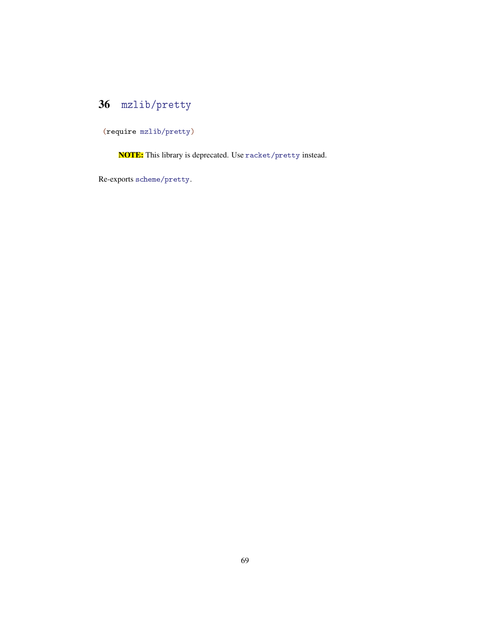# 36 mzlib/pretty

(require mzlib/pretty)

NOTE: This library is deprecated. Use racket/pretty instead.

Re-exports scheme/pretty.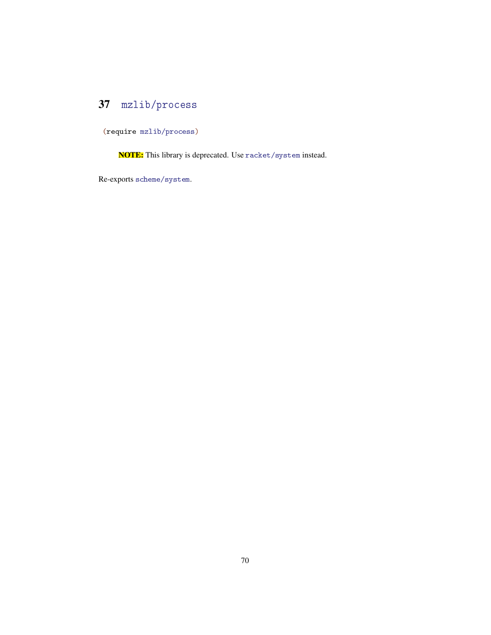# 37 mzlib/process

(require mzlib/process)

NOTE: This library is deprecated. Use racket/system instead.

Re-exports scheme/system.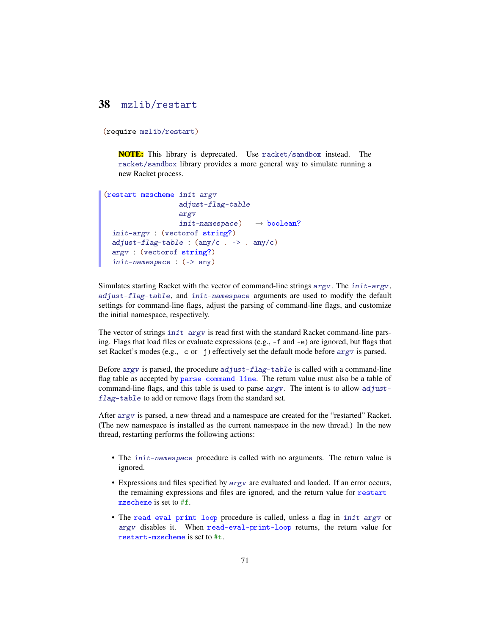### 38 mzlib/restart

```
(require mzlib/restart)
```
NOTE: This library is deprecated. Use racket/sandbox instead. The racket/sandbox library provides a more general way to simulate running a new Racket process.

```
(restart-mzscheme init-argv
                     adjust-flag-table
                     argv
                    init-namespace) \rightarrow boolean?
 init-argv : (vectorof string?)
  adjust-flag-table : (\text{any}/c \cdot \rightarrow \cdot \text{any}/c)argv : (vectorof string?)
  init-namespace : (-) any)
```
Simulates starting Racket with the vector of command-line strings argv. The init-argv, adjust-flag-table, and init-namespace arguments are used to modify the default settings for command-line flags, adjust the parsing of command-line flags, and customize the initial namespace, respectively.

The vector of strings  $init - argv$  is read first with the standard Racket command-line parsing. Flags that load files or evaluate expressions (e.g., -f and -e) are ignored, but flags that set Racket's modes (e.g.,  $-c$  or  $-j$ ) effectively set the default mode before  $\arg y$  is parsed.

Before  $\arg v$  is parsed, the procedure  $\arg u = \arg v$  is called with a command-line flag table as accepted by parse-command-line. The return value must also be a table of command-line flags, and this table is used to parse  $\arg v$ . The intent is to allow adjustflag-table to add or remove flags from the standard set.

After argv is parsed, a new thread and a namespace are created for the "restarted" Racket. (The new namespace is installed as the current namespace in the new thread.) In the new thread, restarting performs the following actions:

- The init-namespace procedure is called with no arguments. The return value is ignored.
- Expressions and files specified by argv are evaluated and loaded. If an error occurs, the remaining expressions and files are ignored, and the return value for restartmzscheme is set to #f.
- The read-eval-print-loop procedure is called, unless a flag in init-argv or argv disables it. When read-eval-print-loop returns, the return value for restart-mzscheme is set to #t.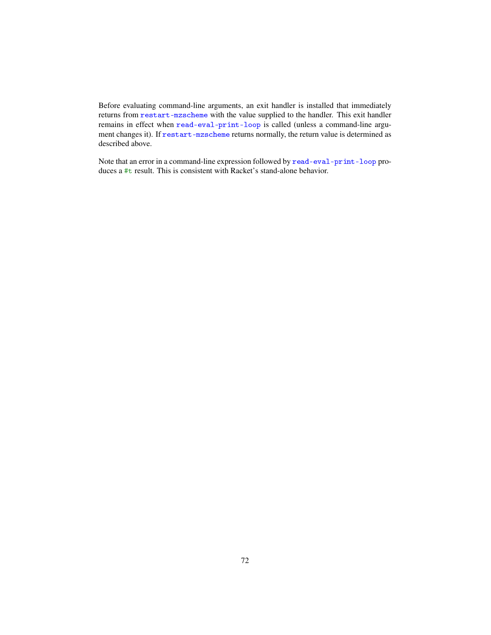Before evaluating command-line arguments, an exit handler is installed that immediately returns from restart-mzscheme with the value supplied to the handler. This exit handler remains in effect when read-eval-print-loop is called (unless a command-line argument changes it). If restart-mzscheme returns normally, the return value is determined as described above.

Note that an error in a command-line expression followed by read-eval-print-loop produces a #t result. This is consistent with Racket's stand-alone behavior.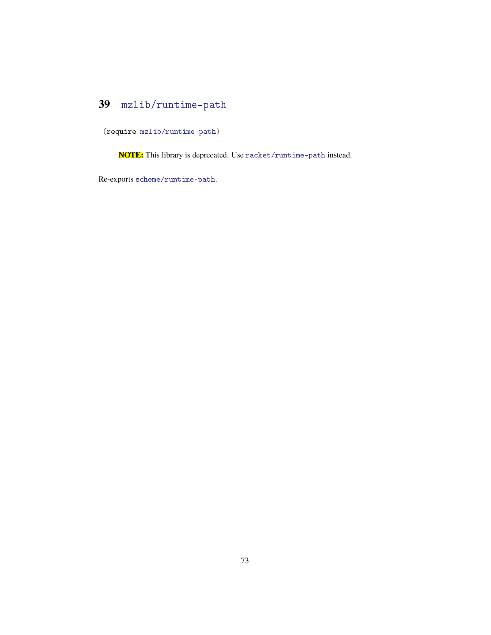# <span id="page-72-0"></span>39 mzlib/runtime-path

(require mzlib/runtime-path)

NOTE: This library is deprecated. Use racket/runtime-path instead.

Re-exports scheme/runtime-path.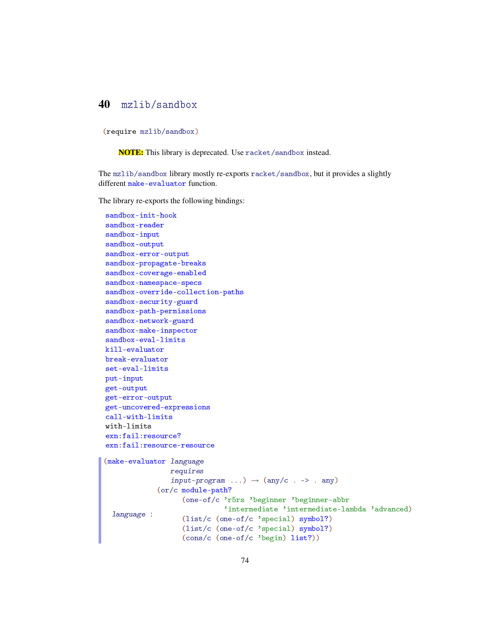#### <span id="page-73-0"></span>40 mzlib/sandbox

(require mzlib/sandbox)

NOTE: This library is deprecated. Use racket/sandbox instead.

The mzlib/sandbox library mostly re-exports racket/sandbox, but it provides a slightly different make-evaluator function.

The library re-exports the following bindings:

```
sandbox-init-hook
sandbox-reader
sandbox-input
sandbox-output
sandbox-error-output
sandbox-propagate-breaks
sandbox-coverage-enabled
sandbox-namespace-specs
sandbox-override-collection-paths
sandbox-security-guard
sandbox-path-permissions
sandbox-network-guard
sandbox-make-inspector
sandbox-eval-limits
kill-evaluator
break-evaluator
set-eval-limits
put-input
get-output
get-error-output
get-uncovered-expressions
call-with-limits
with-limits
exn:fail:resource?
exn:fail:resource-resource
(make-evaluator language
                requires
                input-program \dots) \rightarrow (any/c . -> . any)
 language :
             (or/c module-path?
                   (one-of/c 'r5rs 'beginner 'beginner-abbr
                             'intermediate 'intermediate-lambda 'advanced)
                   (list/c (one-of/c 'special) symbol?)
                   (list/c (one-of/c 'special) symbol?)
```
(cons/c (one-of/c 'begin) list?))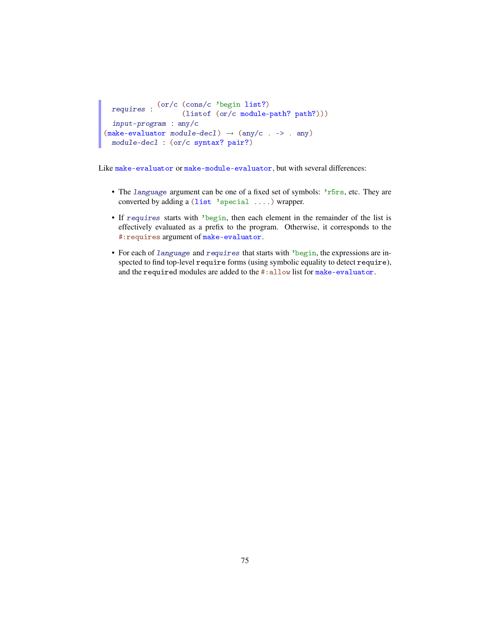```
requires :
(or/c (cons/c 'begin list?)
                    (listof (or/c module-path? path?)))
  input-program : any/c
(make-evaluation module-dec1) \rightarrow (any/c . -> . any)module-decl : (or/c syntax? pair?)
```
Like make-evaluator or make-module-evaluator, but with several differences:

- The language argument can be one of a fixed set of symbols: 'r5rs, etc. They are converted by adding a (list 'special ....) wrapper.
- If requires starts with 'begin, then each element in the remainder of the list is effectively evaluated as a prefix to the program. Otherwise, it corresponds to the #:requires argument of make-evaluator.
- For each of language and requires that starts with 'begin, the expressions are inspected to find top-level require forms (using symbolic equality to detect require), and the required modules are added to the #: allow list for make-evaluator.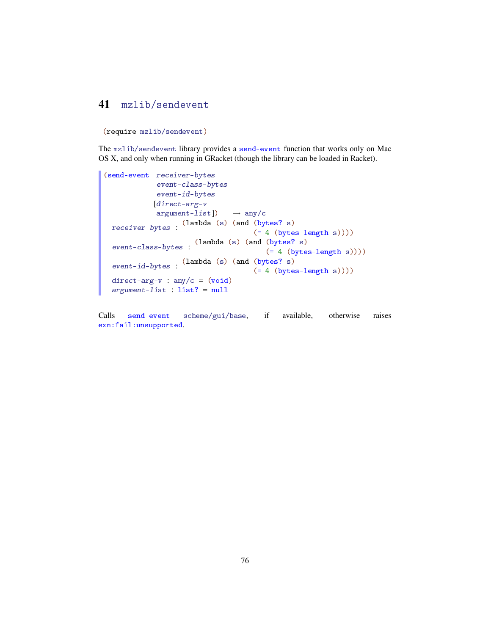#### <span id="page-75-0"></span>41 mzlib/sendevent

(require mzlib/sendevent)

The mzlib/sendevent library provides a send-event function that works only on Mac OS X, and only when running in GRacket (though the library can be loaded in Racket).

```
(send-event receiver-bytes
             event-class-bytes
             event-id-bytes
            [direct-arg-v
             argument-list]) \rightarrow any/c
 receiver-bytes :
                   (lambda (s) (and (bytes? s)
                                      (= 4 (bytes-length s))))
  event-class-bytes: (lambda (s) (and (bytes? s)
                                         (= 4 (bytes-length s))))
  event-id-bytes : (\text{lambda}(s) \text{ (and } (bytes? s))(= 4 (bytes-length s))))direct-arg-v : any/c = (void)argument-list : list? = null
```
Calls send-event scheme/gui/base, if available, otherwise raises exn:fail:unsupported.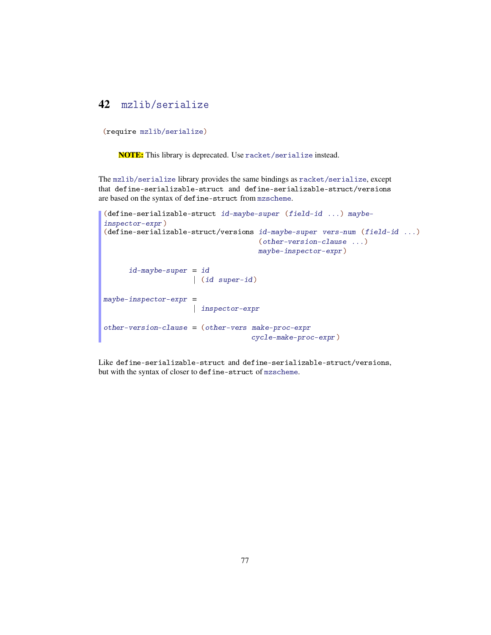### <span id="page-76-0"></span>42 mzlib/serialize

(require mzlib/serialize)

NOTE: This library is deprecated. Use racket/serialize instead.

The mzlib/serialize library provides the same bindings as racket/serialize, except that define-serializable-struct and define-serializable-struct/versions are based on the syntax of define-struct from mzscheme.

```
(define-serializable-struct id-maybe-super (field-id ...) maybe-
inspector-expr)
(define-serializable-struct/versions id-maybe-super vers-num (field-id ...)
                                     (other-version-clause ...)
                                     maybe-inspector-expr)
      id-maybe-super = id
                     | (id super-id)
may be-inspector-expr =| inspector-expr
other-version-clause = (other-vers make-proc-expr
                                   cycle-make-proc-expr)
```
Like define-serializable-struct and define-serializable-struct/versions, but with the syntax of closer to define-struct of mzscheme.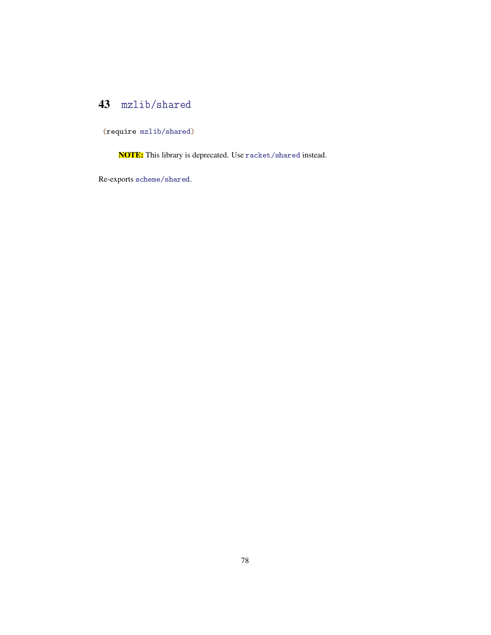### <span id="page-77-0"></span>43 mzlib/shared

(require mzlib/shared)

NOTE: This library is deprecated. Use racket/shared instead.

Re-exports scheme/shared.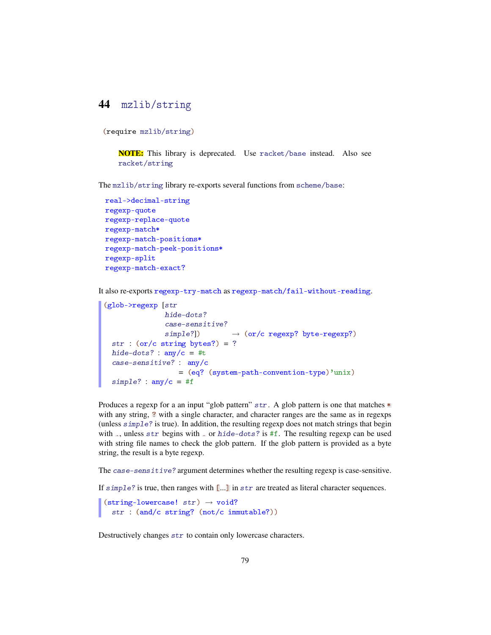#### <span id="page-78-0"></span>44 mzlib/string

(require mzlib/string)

NOTE: This library is deprecated. Use racket/base instead. Also see racket/string

The mzlib/string library re-exports several functions from scheme/base:

```
real->decimal-string
regexp-quote
regexp-replace-quote
regexp-match*
regexp-match-positions*
regexp-match-peek-positions*
regexp-split
regexp-match-exact?
```
It also re-exports regexp-try-match as regexp-match/fail-without-reading.

```
(glob->regexp [str
              hide-dots?
              case-sensitive?
              simple?] \rightarrow (or/c regexp? byte-regexp?)
 str : (or/c \text{ string bytes?}) = ?hide-dots? : any/c = #tcase-sensitive? : any/c
                 = (eq? (system-path-convention-type)'unix)
 simple? : any/c = #f
```
Produces a regexp for a an input "glob pattern"  $str.$  A glob pattern is one that matches  $*$ with any string,  $\Omega$  with a single character, and character ranges are the same as in regexps (unless simple? is true). In addition, the resulting regexp does not match strings that begin with ., unless str begins with . or hide-dots? is #f. The resulting regexp can be used with string file names to check the glob pattern. If the glob pattern is provided as a byte string, the result is a byte regexp.

The case-sensitive? argument determines whether the resulting regexp is case-sensitive.

If  $simple$ ? is true, then ranges with  $\lbrack \ldots \rbrack$  in  $str$  are treated as literal character sequences.

 $\vert$  (string-lowercase! str)  $\rightarrow$  void? str : (and/c string? (not/c immutable?))

Destructively changes str to contain only lowercase characters.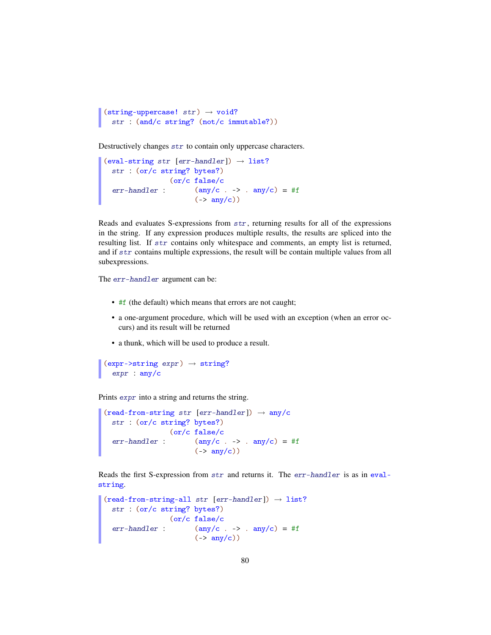```
(string-uppercase! str) \rightarrow void?
   str : (and/c string? (not/c immutable?))
```
Destructively changes str to contain only uppercase characters.

```
(eval-string str [err-handler]) \rightarrow list?str : (or/c string? bytes?)
  err-handler: (any/c \t, -> . any/c) = #f(or/c false/c
                         (-\frac{\text{any}}{\text{c}})
```
Reads and evaluates S-expressions from str, returning results for all of the expressions in the string. If any expression produces multiple results, the results are spliced into the resulting list. If str contains only whitespace and comments, an empty list is returned, and if str contains multiple expressions, the result will be contain multiple values from all subexpressions.

The err-handler argument can be:

- #f (the default) which means that errors are not caught;
- a one-argument procedure, which will be used with an exception (when an error occurs) and its result will be returned
- a thunk, which will be used to produce a result.

```
(exp->string \; expr) \rightarrow string?expr : any/c
```
Prints expr into a string and returns the string.

```
(\text{read-from-string str [err-handler]}) \rightarrow \text{any}/cstr : (or/c string? bytes?)
  err-handler: (any/c \t, -> . any/c) = #f(or/c false/c
                           (-\frac{\text{any}}{\text{c}})
```
Reads the first S-expression from str and returns it. The err-handler is as in evalstring.

```
(read-from-string-all str [err-handler]) \rightarrow list?str : (or/c string? bytes?)
  err-handler: (any/c \t, -> . any/c) = #f(or/c false/c
                     (->any/c))
```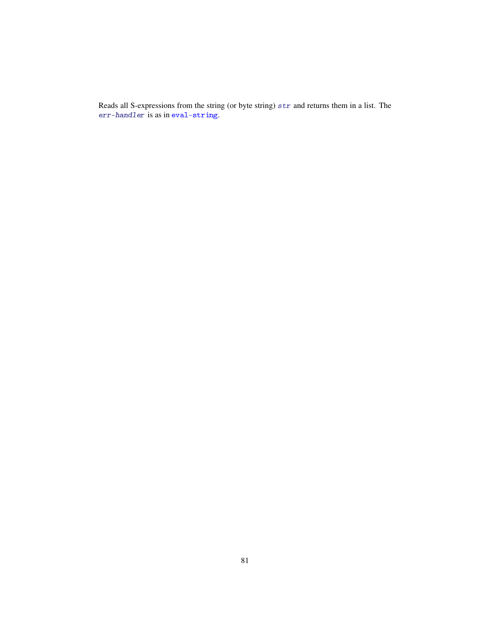Reads all S-expressions from the string (or byte string) str and returns them in a list. The err-handler is as in eval-string.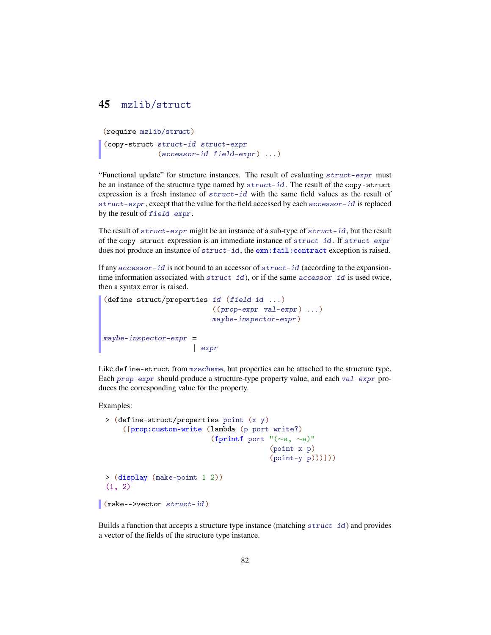#### <span id="page-81-0"></span>45 mzlib/struct

```
(require mzlib/struct)
(copy-struct struct-id struct-expr
             (accessor-id field-expr) ...)
```
"Functional update" for structure instances. The result of evaluating struct-expr must be an instance of the structure type named by struct-id. The result of the copy-struct expression is a fresh instance of struct-id with the same field values as the result of struct-expr, except that the value for the field accessed by each accessor-id is replaced by the result of field-expr.

The result of  $struct-expr$  might be an instance of a sub-type of  $struct-id$ , but the result of the copy-struct expression is an immediate instance of struct-id. If struct-expr does not produce an instance of struct-id, the exn:fail:contract exception is raised.

If any  $accessor-id$  is not bound to an accessor of  $struct-id$  (according to the expansiontime information associated with  $struct-id$ , or if the same accessor-id is used twice, then a syntax error is raised.

```
(define-struct/properties id (field-id ...)
                           ((prop-expr \ val-expr) \ldots)maybe-inspector-expr)
may be-inspector-expr =| expr
```
Like define-struct from mzscheme, but properties can be attached to the structure type. Each prop-expr should produce a structure-type property value, and each val-expr produces the corresponding value for the property.

Examples:

```
> (define-struct/properties point (x y)
      ([prop:custom-write (lambda (p port write?)
                           (fprintf port "(∼a, ∼a)"
                                         (point-x p)
                                         (point-y p)))]))
 > (display (make-point 1 2))
 (1, 2)(make-->vector struct-id)
```
Builds a function that accepts a structure type instance (matching struct-id) and provides a vector of the fields of the structure type instance.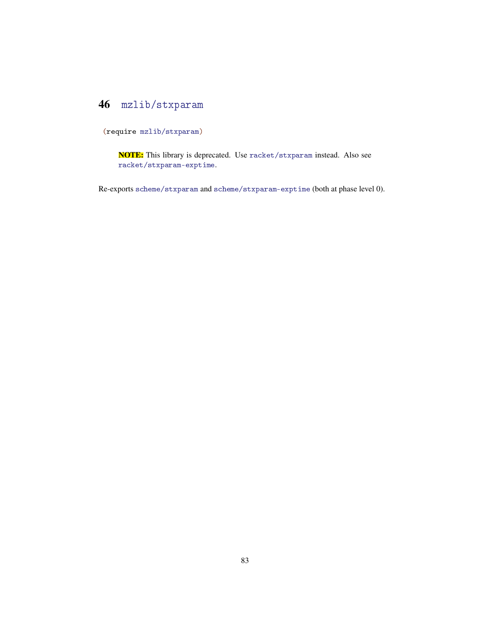### <span id="page-82-0"></span>46 mzlib/stxparam

(require mzlib/stxparam)

NOTE: This library is deprecated. Use racket/stxparam instead. Also see racket/stxparam-exptime.

Re-exports scheme/stxparam and scheme/stxparam-exptime (both at phase level 0).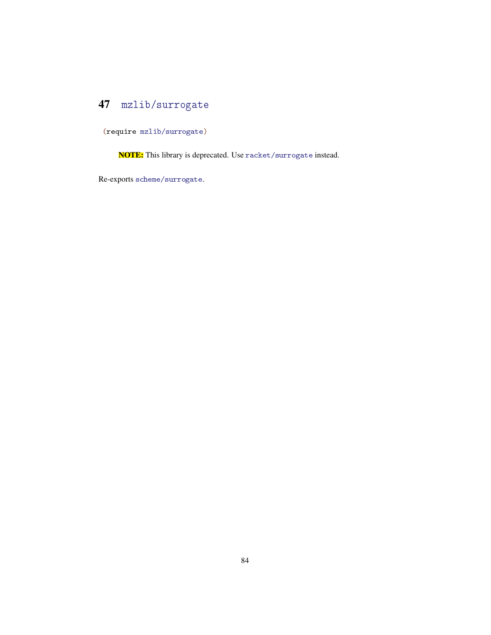# <span id="page-83-0"></span>47 mzlib/surrogate

(require mzlib/surrogate)

NOTE: This library is deprecated. Use racket/surrogate instead.

Re-exports scheme/surrogate.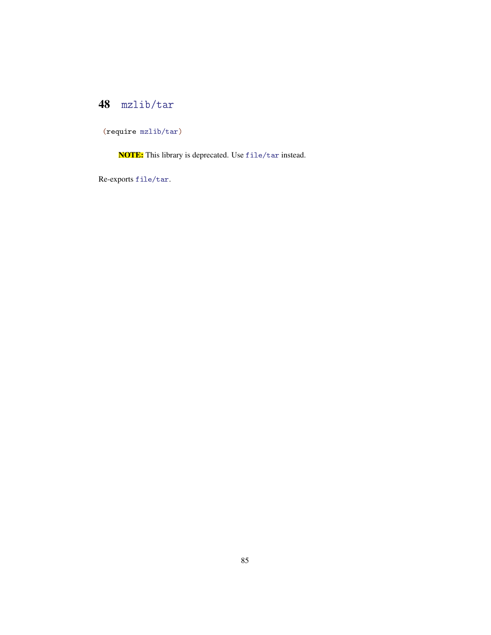# <span id="page-84-0"></span>48 mzlib/tar

(require mzlib/tar)

NOTE: This library is deprecated. Use file/tar instead.

Re-exports file/tar.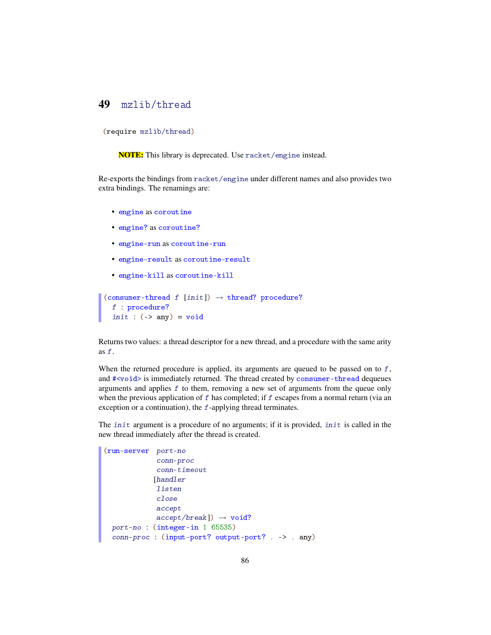#### <span id="page-85-0"></span>49 mzlib/thread

(require mzlib/thread)

NOTE: This library is deprecated. Use racket/engine instead.

Re-exports the bindings from racket/engine under different names and also provides two extra bindings. The renamings are:

- engine as coroutine
- engine? as coroutine?
- engine-run as coroutine-run
- engine-result as coroutine-result
- engine-kill as coroutine-kill

```
(consumer-thread f [init]) \rightarrow thread? procedure?
  f : procedure?
  init: (-> any) = void
```
Returns two values: a thread descriptor for a new thread, and a procedure with the same arity as f.

When the returned procedure is applied, its arguments are queued to be passed on to  $f$ , and #<void> is immediately returned. The thread created by consumer-thread dequeues arguments and applies  $f$  to them, removing a new set of arguments from the queue only when the previous application of  $f$  has completed; if  $f$  escapes from a normal return (via an exception or a continuation), the  $f$ -applying thread terminates.

The init argument is a procedure of no arguments; if it is provided, init is called in the new thread immediately after the thread is created.

```
(run-server port-no
              conn-proc
              conn-timeout
             [handler
              listen
              close
              accept
              \text{accept}/\text{break}) \rightarrow void?
  port-no : (integer-in 1 65535)
  conn-proc : (input-port? output-port? . -> . any)
```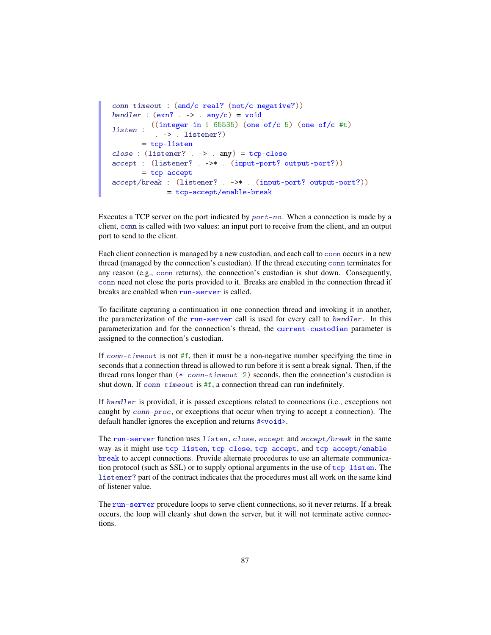```
conn-timeout : (and/c real? (not/c negative?))
handler : (\text{exn? .} \rightarrow . \text{any/c}) = \text{void}listen :
((integer-in 1 65535) (one-of/c 5) (one-of/c #t)
           . -> . listener?)
      = tcp-listen
close: (Listener? . -&gt; . any) = <code>tcp-close</code>accept : (listener? . ->* . (input-port? output-port?))
       = tcp-accept
accept/break : (listener? . ->* . (input-port? output-port?))
              = tcp-accept/enable-break
```
Executes a TCP server on the port indicated by port-no. When a connection is made by a client, conn is called with two values: an input port to receive from the client, and an output port to send to the client.

Each client connection is managed by a new custodian, and each call to conn occurs in a new thread (managed by the connection's custodian). If the thread executing conn terminates for any reason (e.g., conn returns), the connection's custodian is shut down. Consequently, conn need not close the ports provided to it. Breaks are enabled in the connection thread if breaks are enabled when run-server is called.

To facilitate capturing a continuation in one connection thread and invoking it in another, the parameterization of the run-server call is used for every call to handler. In this parameterization and for the connection's thread, the current-custodian parameter is assigned to the connection's custodian.

If conn-timeout is not  $#f$ , then it must be a non-negative number specifying the time in seconds that a connection thread is allowed to run before it is sent a break signal. Then, if the thread runs longer than (\* conn-timeout 2) seconds, then the connection's custodian is shut down. If conn-timeout is #f, a connection thread can run indefinitely.

If handler is provided, it is passed exceptions related to connections (i.e., exceptions not caught by conn-proc, or exceptions that occur when trying to accept a connection). The default handler ignores the exception and returns  $\#$ <void>.

The run-server function uses listen, close, accept and accept/break in the same way as it might use tcp-listen, tcp-close, tcp-accept, and tcp-accept/enablebreak to accept connections. Provide alternate procedures to use an alternate communication protocol (such as  $SSL$ ) or to supply optional arguments in the use of  $top-listen$ . The listener? part of the contract indicates that the procedures must all work on the same kind of listener value.

The run-server procedure loops to serve client connections, so it never returns. If a break occurs, the loop will cleanly shut down the server, but it will not terminate active connections.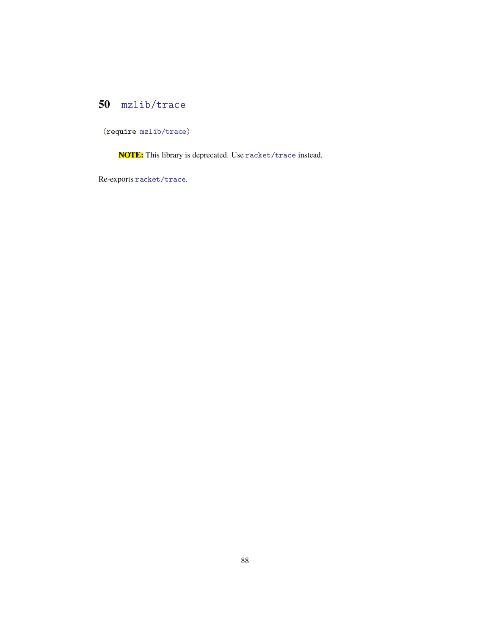# <span id="page-87-0"></span>50 mzlib/trace

(require mzlib/trace)

NOTE: This library is deprecated. Use racket/trace instead.

Re-exports racket/trace.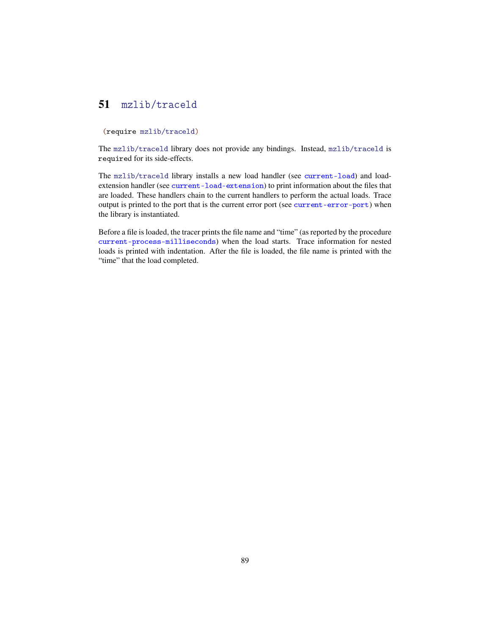#### <span id="page-88-0"></span>51 mzlib/traceld

#### (require mzlib/traceld)

The mzlib/traceld library does not provide any bindings. Instead, mzlib/traceld is required for its side-effects.

The mzlib/traceld library installs a new load handler (see current-load) and loadextension handler (see current-load-extension) to print information about the files that are loaded. These handlers chain to the current handlers to perform the actual loads. Trace output is printed to the port that is the current error port (see current-error-port) when the library is instantiated.

Before a file is loaded, the tracer prints the file name and "time" (as reported by the procedure current-process-milliseconds) when the load starts. Trace information for nested loads is printed with indentation. After the file is loaded, the file name is printed with the "time" that the load completed.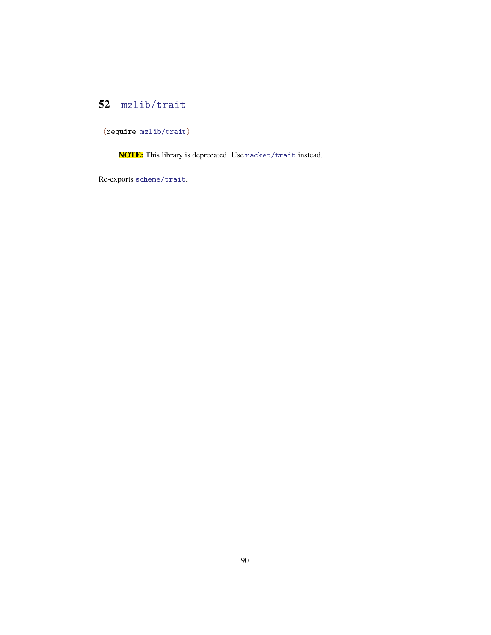# <span id="page-89-0"></span>52 mzlib/trait

(require mzlib/trait)

NOTE: This library is deprecated. Use racket/trait instead.

Re-exports scheme/trait.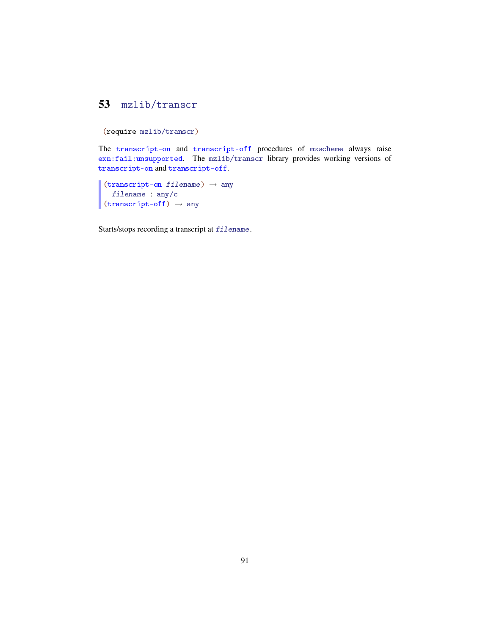### <span id="page-90-0"></span>53 mzlib/transcr

```
(require mzlib/transcr)
```
The transcript-on and transcript-off procedures of mzscheme always raise exn:fail:unsupported. The mzlib/transcr library provides working versions of transcript-on and transcript-off.

```
(transcript-on filename) \rightarrow any
   filename : any/c
 (transcript-off) \rightarrow any
```
Starts/stops recording a transcript at filename.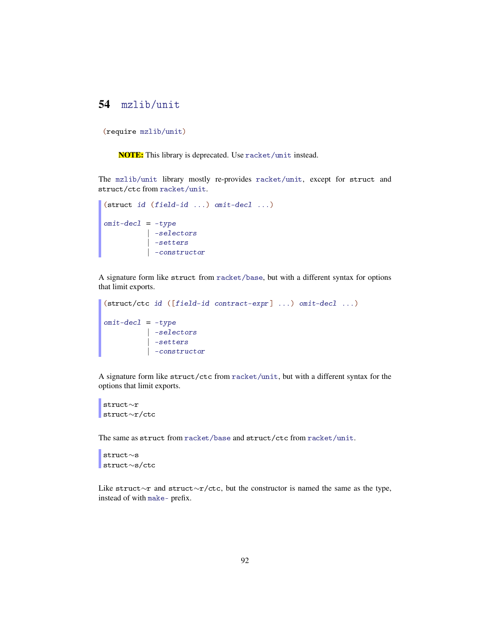#### <span id="page-91-0"></span>54 mzlib/unit

```
(require mzlib/unit)
```
NOTE: This library is deprecated. Use racket/unit instead.

The mzlib/unit library mostly re-provides racket/unit, except for struct and struct/ctc from racket/unit.

```
(struct id (field-id ...) omit-decl ...)
omi t-dec1 = -type| -selectors
          | -setters
          | -constructor
```
A signature form like struct from racket/base, but with a different syntax for options that limit exports.

```
(struct/ctc id ([field-id contract-expr] ...) omit-decl ...)
omit-decl = -type| -selectors
          | -setters
          | -constructor
```
A signature form like struct/ctc from racket/unit, but with a different syntax for the options that limit exports.

```
struct∼r
struct∼r/ctc
```
The same as struct from racket/base and struct/ctc from racket/unit.

```
struct∼s
struct∼s/ctc
```
Like struct∼r and struct∼r/ctc, but the constructor is named the same as the type, instead of with make- prefix.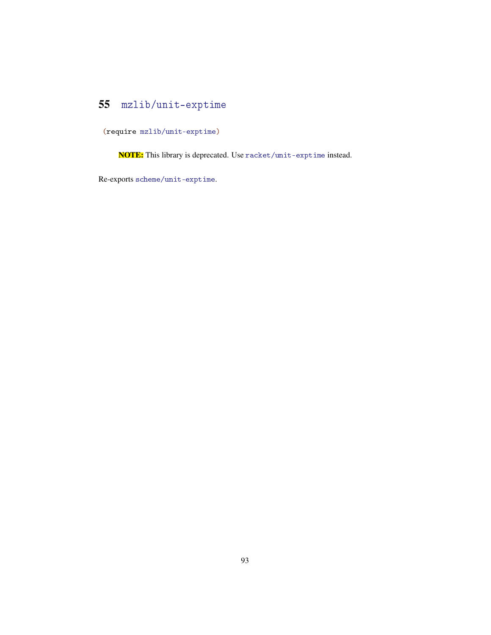# <span id="page-92-0"></span>55 mzlib/unit-exptime

(require mzlib/unit-exptime)

NOTE: This library is deprecated. Use racket/unit-exptime instead.

Re-exports scheme/unit-exptime.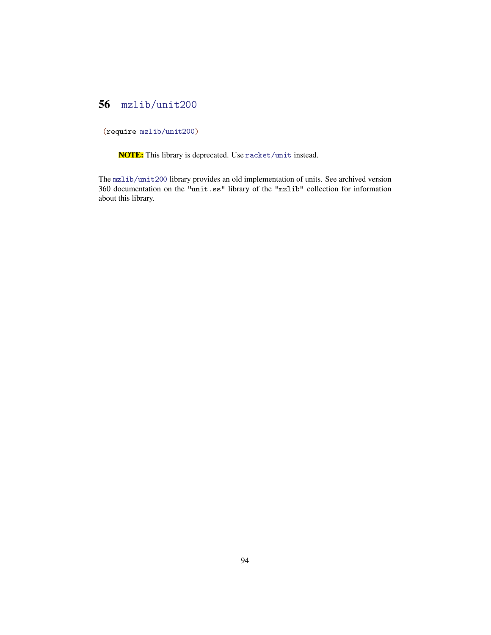### <span id="page-93-0"></span>56 mzlib/unit200

(require mzlib/unit200)

NOTE: This library is deprecated. Use racket/unit instead.

The mzlib/unit200 library provides an old implementation of units. See archived version 360 documentation on the "unit.ss" library of the "mzlib" collection for information about this library.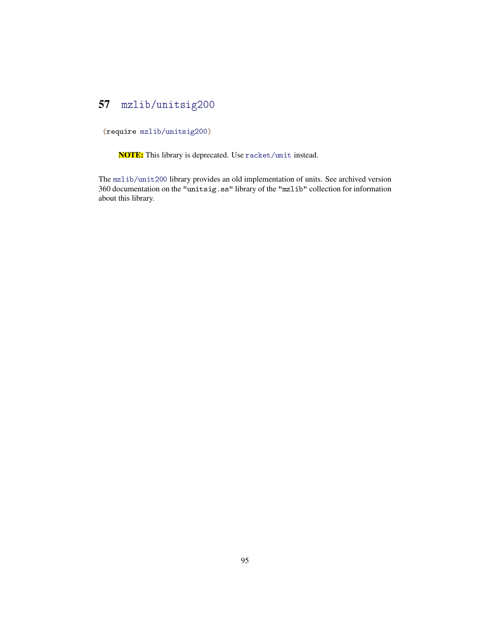### <span id="page-94-0"></span>57 mzlib/unitsig200

(require mzlib/unitsig200)

NOTE: This library is deprecated. Use racket/unit instead.

The mzlib/unit200 library provides an old implementation of units. See archived version 360 documentation on the "unitsig.ss" library of the "mzlib" collection for information about this library.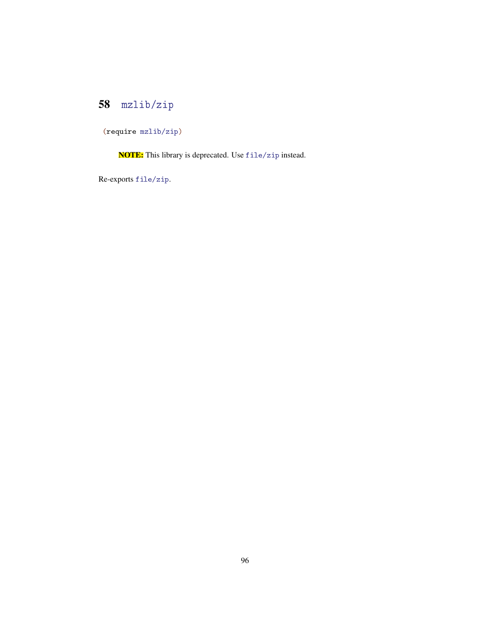# <span id="page-95-0"></span>58 mzlib/zip

(require mzlib/zip)

NOTE: This library is deprecated. Use file/zip instead.

Re-exports file/zip.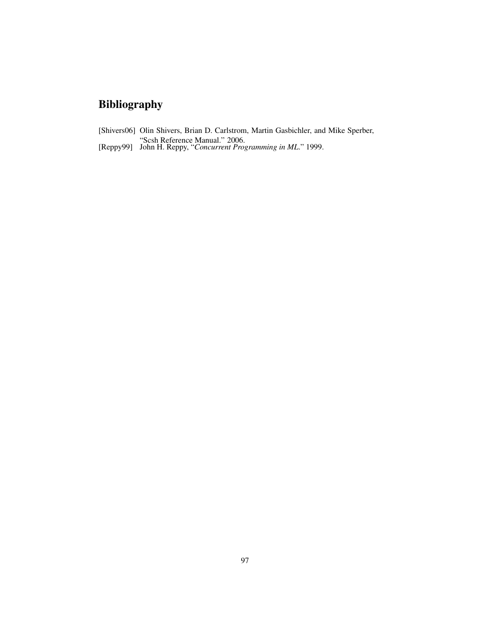# Bibliography

- [Shivers06] Olin Shivers, Brian D. Carlstrom, Martin Gasbichler, and Mike Sperber, "Scsh Reference Manual." 2006.
- [Reppy99] John H. Reppy, "*Concurrent Programming in ML*." 1999.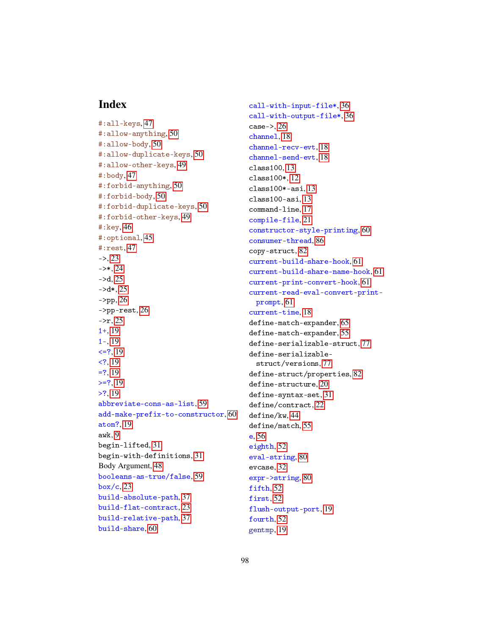#### Index

```
#:all-keys, 47
#:allow-anything, 50
#:allow-body, 50
#:allow-duplicate-keys, 50
#:allow-other-keys, 49
#:body, 47
#:forbid-anything, 50
#:forbid-body, 50
#:forbid-duplicate-keys, 50
#:forbid-other-keys, 49
#:key, 46
#:optional, 45
#:rest, 47
 23\rightarrow 24
->d 25
 25- 26
->pp-rest, 26
->r 25
1+, 19
1-, 19
\leq 19
< 19
= 19
>=? 19
>?, 19
abbreviate-cons-as-list, 59
add-make-prefix-to-constructor, 60
atom?, 19
awk, 9
begin-lifted, 31
begin-with-definitions, 31
Body Argument, 48
booleans-as-true/false, 59
 23build-absolute-path, 37
build-flat-contract, 23
build-relative-path, 37
build-share, 60
```
call-with-input-file\*, [36](#page-35-0) call-with-output-file\*, [36](#page-35-0)  $case->, 26$  $case->, 26$ channel, [18](#page-17-0) channel-recv-evt, [18](#page-17-0) channel-send-evt, [18](#page-17-0) class100, [13](#page-11-0) class100\*, [12](#page-11-0) class100\*-asi, [13](#page-11-0) class100-asi, [13](#page-11-0) command-line, [17](#page-16-0) compile-file, [21](#page-20-0) constructor-style-printing, [60](#page-58-0) consumer-thread, [86](#page-85-0) copy-struct, [82](#page-81-0) current-build-share-hook, [61](#page-58-0) current-build-share-name-hook, [61](#page-58-0) current-print-convert-hook, [61](#page-58-0) current-read-eval-convert-printprompt, [61](#page-58-0) current-time, [18](#page-17-0) define-match-expander, [65](#page-64-0) define-match-expander, [55](#page-53-0) define-serializable-struct, [77](#page-76-0) define-serializablestruct/versions, [77](#page-76-0) define-struct/properties, [82](#page-81-0) define-structure, [20](#page-18-0) define-syntax-set, [31](#page-30-0) define/contract, [22](#page-21-0) define/kw, [44](#page-43-0) define/match, [55](#page-53-0) e, [56](#page-55-0) eighth, [52](#page-51-0) eval-string, [80](#page-78-0) evcase, [32](#page-30-0) expr->string, [80](#page-78-0) fifth, [52](#page-51-0) first, [52](#page-51-0) flush-output-port, [19](#page-18-0) fourth, [52](#page-51-0)

gentmp, [19](#page-18-0)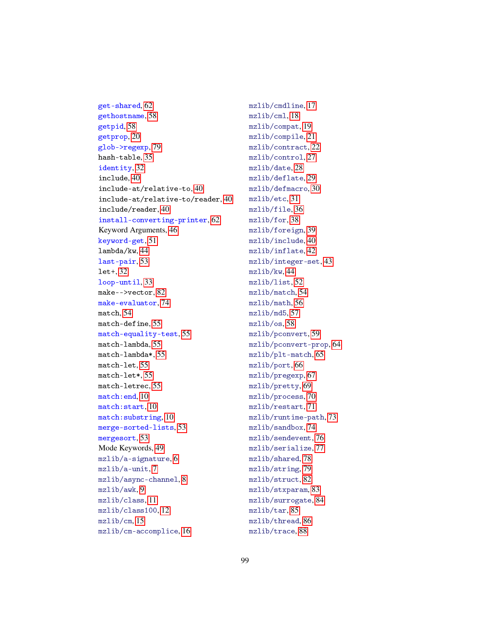get-shared, [62](#page-58-0) gethostname, [58](#page-57-0) getpid, [58](#page-57-0) getprop, [20](#page-18-0) glob->regexp, [79](#page-78-0) hash-table, [35](#page-30-0) identity, [32](#page-30-0) include, [40](#page-39-0) include-at/relative-to, [40](#page-39-0) include-at/relative-to/reader, [40](#page-39-0) include/reader, [40](#page-39-0) install-converting-printer, [62](#page-58-0) Keyword Arguments, [46](#page-45-0) keyword-get, [51](#page-50-0) lambda/kw, [44](#page-43-0) last-pair, [53](#page-51-0) let+, [32](#page-30-0) loop-until, [33](#page-30-0) make-->vector, [82](#page-81-0) make-evaluator, [74](#page-73-0) match, [54](#page-53-0) match-define, [55](#page-53-0) match-equality-test, [55](#page-53-0) match-lambda, [55](#page-53-0) match-lambda\*, [55](#page-53-0) match-let, [55](#page-53-0) match-let\*, [55](#page-53-0) match-letrec, [55](#page-53-0) match:end, [10](#page-8-0) match:start, [10](#page-8-0) match:substring, [10](#page-8-0) merge-sorted-lists, [53](#page-51-0) mergesort, [53](#page-51-0) Mode Keywords, [49](#page-48-0) mzlib/a-signature, [6](#page-5-0) mzlib/a-unit, [7](#page-6-0) mzlib/async-channel, [8](#page-7-0) mzlib/awk, [9](#page-8-0) mzlib/class, [11](#page-10-0) mzlib/class100, [12](#page-11-0) mzlib/cm, [15](#page-14-0) mzlib/cm-accomplice, [16](#page-15-0)

mzlib/cmdline, [17](#page-16-0) mzlib/cml, [18](#page-17-0) mzlib/compat, [19](#page-18-0) mzlib/compile, [21](#page-20-0) mzlib/contract, [22](#page-21-0) mzlib/control, [27](#page-26-0) mzlib/date, [28](#page-27-0) mzlib/deflate, [29](#page-28-0) mzlib/defmacro, [30](#page-29-0) mzlib/etc, [31](#page-30-0) mzlib/file, [36](#page-35-0) mzlib/for, [38](#page-37-0) mzlib/foreign, [39](#page-38-0) mzlib/include, [40](#page-39-0) mzlib/inflate, [42](#page-41-0) mzlib/integer-set, [43](#page-42-0) mzlib/kw, [44](#page-43-0) mzlib/list, [52](#page-51-0) mzlib/match, [54](#page-53-0) mzlib/math, [56](#page-55-0) mzlib/md5, [57](#page-56-0) mzlib/os, [58](#page-57-0) mzlib/pconvert, [59](#page-58-0) mzlib/pconvert-prop, [64](#page-63-0) mzlib/plt-match, [65](#page-64-0) mzlib/port, [66](#page-65-0) mzlib/pregexp, [67](#page-66-0) mzlib/pretty, [69](#page-68-0) mzlib/process, [70](#page-69-0) mzlib/restart, [71](#page-70-0) mzlib/runtime-path, [73](#page-72-0) mzlib/sandbox, [74](#page-73-0) mzlib/sendevent, [76](#page-75-0) mzlib/serialize, [77](#page-76-0) mzlib/shared, [78](#page-77-0) mzlib/string, [79](#page-78-0) mzlib/struct, [82](#page-81-0) mzlib/stxparam, [83](#page-82-0) mzlib/surrogate, [84](#page-83-0) mzlib/tar, [85](#page-84-0) mzlib/thread, [86](#page-85-0) mzlib/trace, [88](#page-87-0)